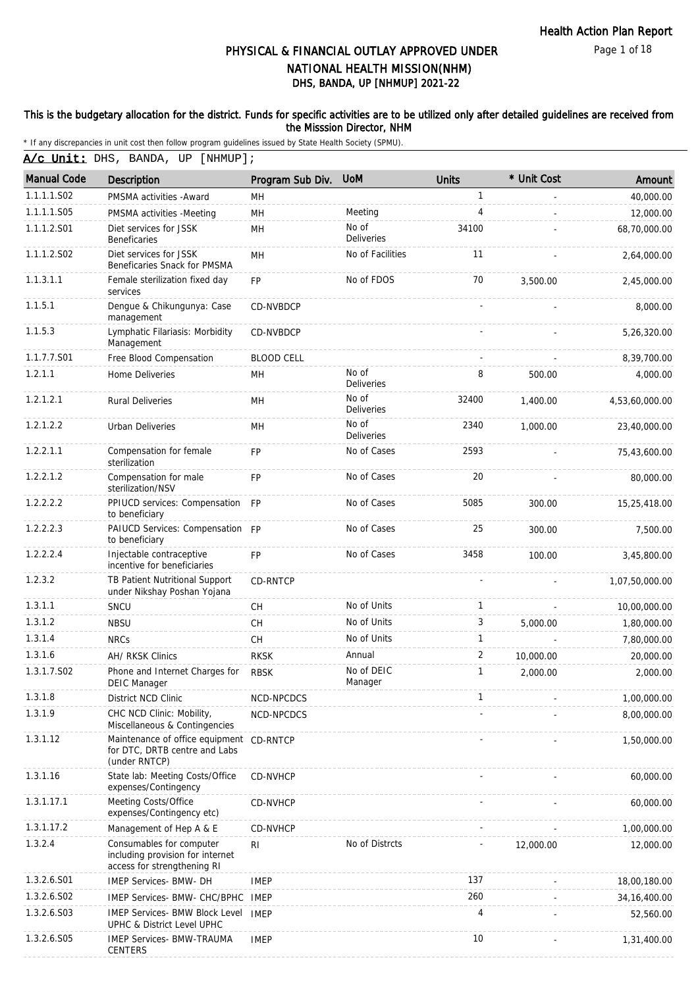Page 1 of 18

# DHS, BANDA, UP [NHMUP] 2021-22 PHYSICAL & FINANCIAL OUTLAY APPROVED UNDER NATIONAL HEALTH MISSION(NHM)

#### This is the budgetary allocation for the district. Funds for specific activities are to be utilized only after detailed guidelines are received from the Misssion Director, NHM

\* If any discrepancies in unit cost then follow program guidelines issued by State Health Society (SPMU).

A/c Unit: DHS, BANDA, UP [NHMUP];

| <b>Manual Code</b> | <b>Description</b>                                                                          | Program Sub Div.  | <b>UoM</b>                 | <b>Units</b> | * Unit Cost | Amount         |
|--------------------|---------------------------------------------------------------------------------------------|-------------------|----------------------------|--------------|-------------|----------------|
| 1.1.1.1.S02        | PMSMA activities - Award                                                                    | MН                |                            | $\mathbf{1}$ |             | 40,000.00      |
| 1.1.1.1.S05        | PMSMA activities -Meeting                                                                   | MH                | Meeting                    | 4            |             | 12,000.00      |
| 1.1.1.2.S01        | Diet services for JSSK<br>Beneficaries                                                      | MН                | No of<br><b>Deliveries</b> | 34100        |             | 68,70,000.00   |
| 1.1.1.2.S02        | Diet services for JSSK<br>Beneficaries Snack for PMSMA                                      | <b>MH</b>         | No of Facilities           | 11           |             | 2,64,000.00    |
| 1.1.3.1.1          | Female sterilization fixed day<br>services                                                  | <b>FP</b>         | No of FDOS                 | 70           | 3,500.00    | 2,45,000.00    |
| 1.1.5.1            | Dengue & Chikungunya: Case<br>management                                                    | CD-NVBDCP         |                            |              |             | 8,000.00       |
| 1.1.5.3            | Lymphatic Filariasis: Morbidity<br>Management                                               | <b>CD-NVBDCP</b>  |                            |              |             | 5,26,320.00    |
| 1.1.7.7.S01        | Free Blood Compensation                                                                     | <b>BLOOD CELL</b> |                            |              |             | 8,39,700.00    |
| 1.2.1.1            | Home Deliveries                                                                             | MH                | No of<br>Deliveries        | 8            | 500.00      | 4,000.00       |
| 1.2.1.2.1          | <b>Rural Deliveries</b>                                                                     | MH                | No of<br><b>Deliveries</b> | 32400        | 1,400.00    | 4,53,60,000.00 |
| 1.2.1.2.2          | <b>Urban Deliveries</b>                                                                     | MН                | No of<br><b>Deliveries</b> | 2340         | 1,000.00    | 23,40,000.00   |
| 1.2.2.1.1          | Compensation for female<br>sterilization                                                    | FP                | No of Cases                | 2593         |             | 75,43,600.00   |
| 1.2.2.1.2          | Compensation for male<br>sterilization/NSV                                                  | <b>FP</b>         | No of Cases                | 20           |             | 80,000.00      |
| 1.2.2.2.2          | PPIUCD services: Compensation FP<br>to beneficiary                                          |                   | No of Cases                | 5085         | 300.00      | 15,25,418.00   |
| 1.2.2.2.3          | PAIUCD Services: Compensation FP<br>to beneficiary                                          |                   | No of Cases                | 25           | 300.00      | 7,500.00       |
| 1.2.2.2.4          | Injectable contraceptive<br>incentive for beneficiaries                                     | <b>FP</b>         | No of Cases                | 3458         | 100.00      | 3,45,800.00    |
| 1.2.3.2            | TB Patient Nutritional Support<br>under Nikshay Poshan Yojana                               | CD-RNTCP          |                            |              |             | 1,07,50,000.00 |
| 1.3.1.1            | SNCU                                                                                        | CH                | No of Units                | $\mathbf{1}$ |             | 10,00,000.00   |
| 1.3.1.2            | <b>NBSU</b>                                                                                 | <b>CH</b>         | No of Units                | 3            | 5,000.00    | 1,80,000.00    |
| 1.3.1.4            | <b>NRCs</b>                                                                                 | CH                | No of Units                | $\mathbf{1}$ |             | 7,80,000.00    |
| 1.3.1.6            | AH/ RKSK Clinics                                                                            | <b>RKSK</b>       | Annual                     | 2            | 10,000.00   | 20,000.00      |
| 1.3.1.7.S02        | Phone and Internet Charges for<br><b>DEIC Manager</b>                                       | <b>RBSK</b>       | No of DEIC<br>Manager      | $\mathbf{1}$ | 2,000.00    | 2,000.00       |
| 1.3.1.8            | District NCD Clinic                                                                         | NCD-NPCDCS        |                            | 1            |             | 1,00,000.00    |
| 1.3.1.9            | CHC NCD Clinic: Mobility,<br>Miscellaneous & Contingencies                                  | NCD-NPCDCS        |                            |              |             | 8,00,000.00    |
| 1.3.1.12           | Maintenance of office equipment CD-RNTCP<br>for DTC, DRTB centre and Labs<br>(under RNTCP)  |                   |                            |              |             | 1,50,000.00    |
| 1.3.1.16           | State lab: Meeting Costs/Office<br>expenses/Contingency                                     | CD-NVHCP          |                            |              |             | 60,000.00      |
| 1.3.1.17.1         | Meeting Costs/Office<br>expenses/Contingency etc)                                           | CD-NVHCP          |                            |              |             | 60,000.00      |
| 1.3.1.17.2         | Management of Hep A & E                                                                     | CD-NVHCP          |                            |              |             | 1,00,000.00    |
| 1.3.2.4            | Consumables for computer<br>including provision for internet<br>access for strengthening RI | RI                | No of Distrcts             |              | 12,000.00   | 12,000.00      |
| 1.3.2.6.S01        | IMEP Services- BMW- DH                                                                      | <b>IMEP</b>       |                            | 137          |             | 18,00,180.00   |
| 1.3.2.6.S02        | IMEP Services- BMW- CHC/BPHC                                                                | IMEP              |                            | 260          |             | 34, 16, 400.00 |
| 1.3.2.6.S03        | IMEP Services- BMW Block Level<br>UPHC & District Level UPHC                                | IMEP              |                            | 4            |             | 52,560.00      |
| 1.3.2.6.S05        | <b>IMEP Services- BMW-TRAUMA</b><br><b>CENTERS</b>                                          | <b>IMEP</b>       |                            | 10           |             | 1,31,400.00    |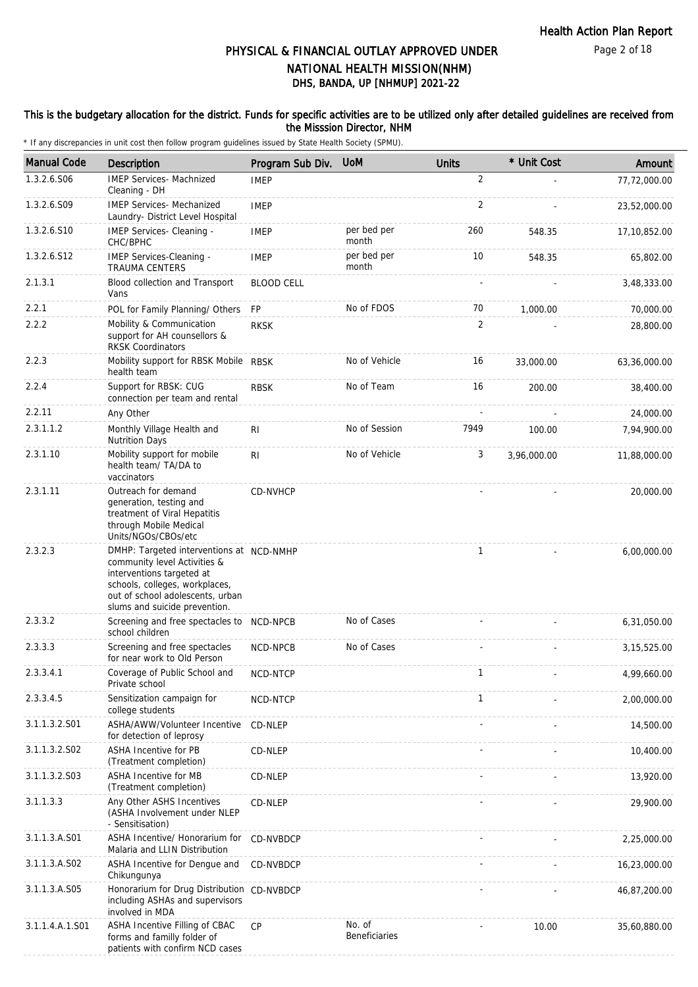### This is the budgetary allocation for the district. Funds for specific activities are to be utilized only after detailed guidelines are received from the Misssion Director, NHM

| <b>Manual Code</b> | <b>Description</b>                                                                                                                                                                                           | Program Sub Div.  | <b>UoM</b>                     | <b>Units</b>    | * Unit Cost | Amount        |
|--------------------|--------------------------------------------------------------------------------------------------------------------------------------------------------------------------------------------------------------|-------------------|--------------------------------|-----------------|-------------|---------------|
| 1.3.2.6.S06        | <b>IMEP Services- Machnized</b><br>Cleaning - DH                                                                                                                                                             | <b>IMEP</b>       |                                | 2               |             | 77,72,000.00  |
| 1.3.2.6.S09        | <b>IMEP Services- Mechanized</b><br>Laundry- District Level Hospital                                                                                                                                         | <b>IMEP</b>       |                                | 2               |             | 23,52,000.00  |
| 1.3.2.6.S10        | IMEP Services- Cleaning -<br>CHC/BPHC                                                                                                                                                                        | <b>IMEP</b>       | per bed per<br>month           | 260             | 548.35      | 17,10,852.00  |
| 1.3.2.6.S12        | IMEP Services-Cleaning -<br><b>TRAUMA CENTERS</b>                                                                                                                                                            | <b>IMEP</b>       | per bed per<br>month           | 10 <sup>°</sup> | 548.35      | 65,802.00     |
| 2.1.3.1            | Blood collection and Transport<br>Vans                                                                                                                                                                       | <b>BLOOD CELL</b> |                                |                 |             | 3,48,333.00   |
| 2.2.1              | POL for Family Planning/ Others                                                                                                                                                                              | <b>FP</b>         | No of FDOS                     | 70              | 1,000.00    | 70,000.00     |
| 2.2.2              | Mobility & Communication<br>support for AH counsellors &<br><b>RKSK Coordinators</b>                                                                                                                         | <b>RKSK</b>       |                                | 2               |             | 28,800.00     |
| 2.2.3              | Mobility support for RBSK Mobile RBSK<br>health team                                                                                                                                                         |                   | No of Vehicle                  | 16              | 33,000.00   | 63,36,000.00  |
| 2.2.4              | Support for RBSK: CUG<br>connection per team and rental                                                                                                                                                      | <b>RBSK</b>       | No of Team                     | 16              | 200.00      | 38,400.00     |
| 2.2.11             | Any Other                                                                                                                                                                                                    |                   |                                |                 |             | 24,000.00     |
| 2.3.1.1.2          | Monthly Village Health and<br><b>Nutrition Days</b>                                                                                                                                                          | RI                | No of Session                  | 7949            | 100.00      | 7,94,900.00   |
| 2.3.1.10           | Mobility support for mobile<br>health team/ TA/DA to<br>vaccinators                                                                                                                                          | R <sub>1</sub>    | No of Vehicle                  | 3               | 3,96,000.00 | 11,88,000.00  |
| 2.3.1.11           | Outreach for demand<br>generation, testing and<br>treatment of Viral Hepatitis<br>through Mobile Medical<br>Units/NGOs/CBOs/etc                                                                              | CD-NVHCP          |                                |                 |             | 20,000.00     |
| 2.3.2.3            | DMHP: Targeted interventions at NCD-NMHP<br>community level Activities &<br>interventions targeted at<br>schools, colleges, workplaces,<br>out of school adolescents, urban<br>slums and suicide prevention. |                   |                                | 1               |             | 6,00,000.00   |
| 2.3.3.2            | Screening and free spectacles to NCD-NPCB<br>school children                                                                                                                                                 |                   | No of Cases                    |                 |             | 6,31,050.00   |
| 2.3.3.3            | Screening and free spectacles<br>for near work to Old Person                                                                                                                                                 | NCD-NPCB          | No of Cases                    |                 |             | 3, 15, 525.00 |
| 2.3.3.4.1          | Coverage of Public School and<br>Private school                                                                                                                                                              | NCD-NTCP          |                                | $\mathbf 1$     |             | 4,99,660.00   |
| 2.3.3.4.5          | Sensitization campaign for<br>college students                                                                                                                                                               | NCD-NTCP          |                                | 1               |             | 2,00,000.00   |
| 3.1.1.3.2.S01      | ASHA/AWW/Volunteer Incentive<br>for detection of leprosy                                                                                                                                                     | CD-NLEP           |                                |                 |             | 14,500.00     |
| 3.1.1.3.2.S02      | <b>ASHA Incentive for PB</b><br>(Treatment completion)                                                                                                                                                       | CD-NLEP           |                                |                 |             | 10,400.00     |
| 3.1.1.3.2.S03      | ASHA Incentive for MB<br>(Treatment completion)                                                                                                                                                              | CD-NLEP           |                                |                 |             | 13,920.00     |
| 3.1.1.3.3          | Any Other ASHS Incentives<br>(ASHA Involvement under NLEP<br>- Sensitisation)                                                                                                                                | CD-NLEP           |                                |                 |             | 29,900.00     |
| 3.1.1.3.A.S01      | ASHA Incentive/ Honorarium for<br>Malaria and LLIN Distribution                                                                                                                                              | CD-NVBDCP         |                                |                 |             | 2,25,000.00   |
| 3.1.1.3.A.S02      | ASHA Incentive for Dengue and<br>Chikungunya                                                                                                                                                                 | CD-NVBDCP         |                                |                 |             | 16,23,000.00  |
| 3.1.1.3.A.S05      | Honorarium for Drug Distribution CD-NVBDCP<br>including ASHAs and supervisors<br>involved in MDA                                                                                                             |                   |                                |                 |             | 46,87,200.00  |
| 3.1.1.4.A.1.S01    | ASHA Incentive Filling of CBAC<br>forms and familly folder of<br>patients with confirm NCD cases                                                                                                             | <b>CP</b>         | No. of<br><b>Beneficiaries</b> |                 | 10.00       | 35,60,880.00  |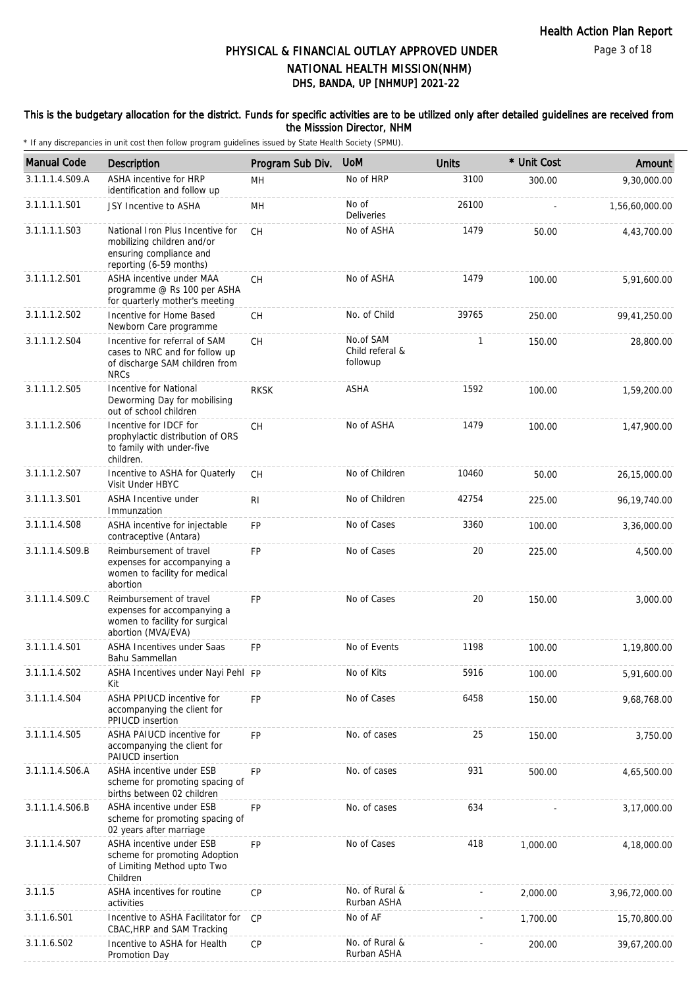### This is the budgetary allocation for the district. Funds for specific activities are to be utilized only after detailed guidelines are received from the Misssion Director, NHM

| <b>Manual Code</b> | Description                                                                                                          | Program Sub Div. | <b>UoM</b>                               | <b>Units</b> | * Unit Cost | Amount         |
|--------------------|----------------------------------------------------------------------------------------------------------------------|------------------|------------------------------------------|--------------|-------------|----------------|
| 3.1.1.1.4.S09.A    | ASHA incentive for HRP<br>identification and follow up                                                               | MH               | No of HRP                                | 3100         | 300.00      | 9,30,000.00    |
| 3.1.1.1.1.S01      | JSY Incentive to ASHA                                                                                                | MН               | No of<br><b>Deliveries</b>               | 26100        |             | 1,56,60,000.00 |
| 3.1.1.1.1.S03      | National Iron Plus Incentive for<br>mobilizing children and/or<br>ensuring compliance and<br>reporting (6-59 months) | <b>CH</b>        | No of ASHA                               | 1479         | 50.00       | 4,43,700.00    |
| 3.1.1.1.2.S01      | ASHA incentive under MAA<br>programme @ Rs 100 per ASHA<br>for quarterly mother's meeting                            | CH               | No of ASHA                               | 1479         | 100.00      | 5,91,600.00    |
| 3.1.1.1.2.S02      | Incentive for Home Based<br>Newborn Care programme                                                                   | <b>CH</b>        | No. of Child                             | 39765        | 250.00      | 99,41,250.00   |
| 3.1.1.1.2.S04      | Incentive for referral of SAM<br>cases to NRC and for follow up<br>of discharge SAM children from<br><b>NRCs</b>     | CH               | No.of SAM<br>Child referal &<br>followup | 1            | 150.00      | 28,800.00      |
| 3.1.1.1.2.S05      | Incentive for National<br>Deworming Day for mobilising<br>out of school children                                     | <b>RKSK</b>      | <b>ASHA</b>                              | 1592         | 100.00      | 1,59,200.00    |
| 3.1.1.1.2.S06      | Incentive for IDCF for<br>prophylactic distribution of ORS<br>to family with under-five<br>children.                 | CH               | No of ASHA                               | 1479         | 100.00      | 1,47,900.00    |
| 3.1.1.1.2.S07      | Incentive to ASHA for Quaterly<br>Visit Under HBYC                                                                   | CH               | No of Children                           | 10460        | 50.00       | 26,15,000.00   |
| 3.1.1.1.3.S01      | <b>ASHA Incentive under</b><br>Immunzation                                                                           | R <sub>1</sub>   | No of Children                           | 42754        | 225.00      | 96,19,740.00   |
| 3.1.1.1.4.S08      | ASHA incentive for injectable<br>contraceptive (Antara)                                                              | FP               | No of Cases                              | 3360         | 100.00      | 3,36,000.00    |
| 3.1.1.1.4.S09.B    | Reimbursement of travel<br>expenses for accompanying a<br>women to facility for medical<br>abortion                  | <b>FP</b>        | No of Cases                              | 20           | 225.00      | 4,500.00       |
| 3.1.1.1.4.S09.C    | Reimbursement of travel<br>expenses for accompanying a<br>women to facility for surgical<br>abortion (MVA/EVA)       | <b>FP</b>        | No of Cases                              | 20           | 150.00      | 3,000.00       |
| 3.1.1.1.4.S01      | <b>ASHA Incentives under Saas</b><br>Bahu Sammellan                                                                  | <b>FP</b>        | No of Events                             | 1198         | 100.00      | 1,19,800.00    |
| 3.1.1.1.4.S02      | ASHA Incentives under Nayi Pehl FP<br>Kit                                                                            |                  | No of Kits                               | 5916         | 100.00      | 5,91,600.00    |
| 3.1.1.1.4.S04      | ASHA PPIUCD incentive for<br>accompanying the client for<br>PPIUCD insertion                                         | <b>FP</b>        | No of Cases                              | 6458         | 150.00      | 9,68,768.00    |
| 3.1.1.1.4.S05      | <b>ASHA PAIUCD incentive for</b><br>accompanying the client for<br>PAIUCD insertion                                  | <b>FP</b>        | No. of cases                             | 25           | 150.00      | 3,750.00       |
| 3.1.1.1.4.S06.A    | ASHA incentive under ESB<br>scheme for promoting spacing of<br>births between 02 children                            | <b>FP</b>        | No. of cases                             | 931          | 500.00      | 4,65,500.00    |
| 3.1.1.1.4.S06.B    | ASHA incentive under ESB<br>scheme for promoting spacing of<br>02 years after marriage                               | FP               | No. of cases                             | 634          |             | 3,17,000.00    |
| 3.1.1.1.4.S07      | ASHA incentive under ESB<br>scheme for promoting Adoption<br>of Limiting Method upto Two<br>Children                 | <b>FP</b>        | No of Cases                              | 418          | 1,000.00    | 4,18,000.00    |
| 3.1.1.5            | ASHA incentives for routine<br>activities                                                                            | CP               | No. of Rural &<br>Rurban ASHA            |              | 2,000.00    | 3,96,72,000.00 |
| 3.1.1.6.S01        | Incentive to ASHA Facilitator for<br>CBAC, HRP and SAM Tracking                                                      | CP               | No of AF                                 |              | 1,700.00    | 15,70,800.00   |
| 3.1.1.6.S02        | Incentive to ASHA for Health<br>Promotion Day                                                                        | CP               | No. of Rural &<br>Rurban ASHA            |              | 200.00      | 39,67,200.00   |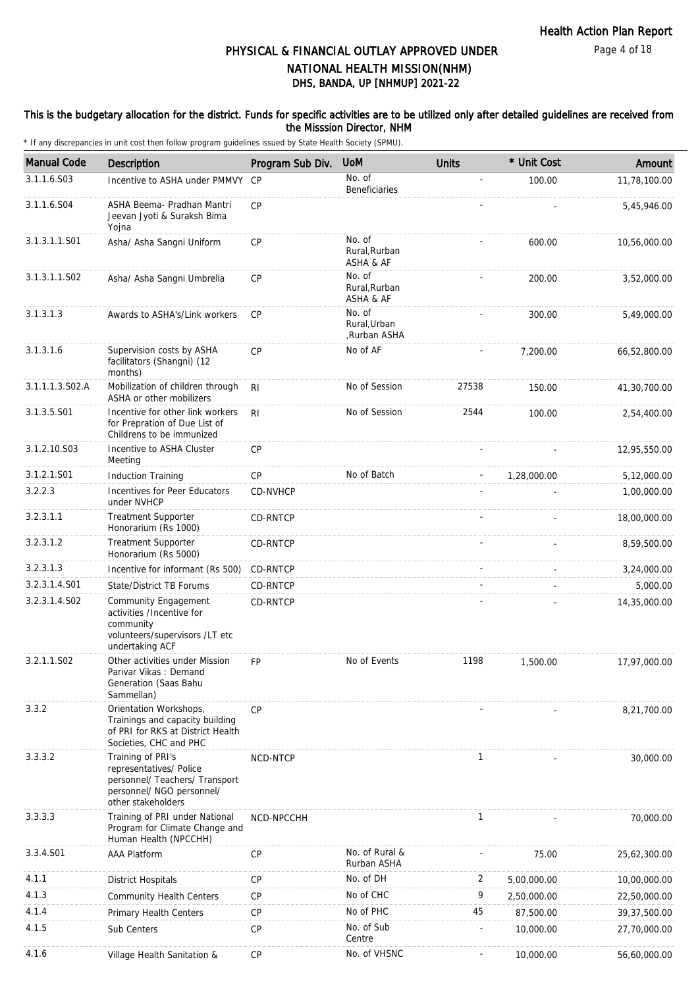### This is the budgetary allocation for the district. Funds for specific activities are to be utilized only after detailed guidelines are received from the Misssion Director, NHM

| <b>Manual Code</b> | Description                                                                                                                       | Program Sub Div. | <b>UoM</b>                             | <b>Units</b> | * Unit Cost | Amount         |
|--------------------|-----------------------------------------------------------------------------------------------------------------------------------|------------------|----------------------------------------|--------------|-------------|----------------|
| 3.1.1.6.S03        | Incentive to ASHA under PMMVY                                                                                                     | <b>CP</b>        | No. of<br>Beneficiaries                |              | 100.00      | 11,78,100.00   |
| 3.1.1.6.S04        | ASHA Beema- Pradhan Mantri<br>Jeevan Jyoti & Suraksh Bima<br>Yojna                                                                | CP               |                                        |              |             | 5,45,946.00    |
| 3.1.3.1.1.S01      | Asha/ Asha Sangni Uniform                                                                                                         | CP               | No. of<br>Rural, Rurban<br>ASHA & AF   |              | 600.00      | 10,56,000.00   |
| 3.1.3.1.1.S02      | Asha/ Asha Sangni Umbrella                                                                                                        | <b>CP</b>        | No. of<br>Rural, Rurban<br>ASHA & AF   |              | 200.00      | 3,52,000.00    |
| 3.1.3.1.3          | Awards to ASHA's/Link workers                                                                                                     | <b>CP</b>        | No. of<br>Rural, Urban<br>Rurban ASHA, |              | 300.00      | 5,49,000.00    |
| 3.1.3.1.6          | Supervision costs by ASHA<br>facilitators (Shangni) (12<br>months)                                                                | <b>CP</b>        | No of AF                               |              | 7,200.00    | 66,52,800.00   |
| 3.1.1.1.3.S02.A    | Mobilization of children through<br>ASHA or other mobilizers                                                                      | RI.              | No of Session                          | 27538        | 150.00      | 41,30,700.00   |
| 3.1.3.5.S01        | Incentive for other link workers<br>for Prepration of Due List of<br>Childrens to be immunized                                    | R <sub>l</sub>   | No of Session                          | 2544         | 100.00      | 2,54,400.00    |
| 3.1.2.10.S03       | Incentive to ASHA Cluster<br>Meeting                                                                                              | <b>CP</b>        |                                        |              |             | 12,95,550.00   |
| 3.1.2.1.S01        | <b>Induction Training</b>                                                                                                         | <b>CP</b>        | No of Batch                            |              | 1,28,000.00 | 5,12,000.00    |
| 3.2.2.3            | Incentives for Peer Educators<br>under NVHCP                                                                                      | CD-NVHCP         |                                        |              |             | 1,00,000.00    |
| 3.2.3.1.1          | <b>Treatment Supporter</b><br>Honorarium (Rs 1000)                                                                                | CD-RNTCP         |                                        |              |             | 18,00,000.00   |
| 3.2.3.1.2          | Treatment Supporter<br>Honorarium (Rs 5000)                                                                                       | CD-RNTCP         |                                        |              |             | 8,59,500.00    |
| 3.2.3.1.3          | Incentive for informant (Rs 500)                                                                                                  | CD-RNTCP         |                                        |              |             | 3,24,000.00    |
| 3.2.3.1.4.S01      | State/District TB Forums                                                                                                          | CD-RNTCP         |                                        |              |             | 5,000.00       |
| 3.2.3.1.4.S02      | Community Engagement<br>activities /Incentive for<br>community<br>volunteers/supervisors /LT etc<br>undertaking ACF               | CD-RNTCP         |                                        |              |             | 14,35,000.00   |
| 3.2.1.1.S02        | Other activities under Mission<br>Parivar Vikas: Demand<br>Generation (Saas Bahu<br>Sammellan)                                    | <b>FP</b>        | No of Events                           | 1198         | 1,500.00    | 17,97,000.00   |
| 3.3.2              | Orientation Workshops,<br>Trainings and capacity building<br>of PRI for RKS at District Health<br>Societies, CHC and PHC          | <b>CP</b>        |                                        |              |             | 8,21,700.00    |
| 3.3.3.2            | Training of PRI's<br>representatives/ Police<br>personnel/ Teachers/ Transport<br>personnel/ NGO personnel/<br>other stakeholders | NCD-NTCP         |                                        | $\mathbf{1}$ |             | 30,000.00      |
| 3.3.3.3            | Training of PRI under National<br>Program for Climate Change and<br>Human Health (NPCCHH)                                         | NCD-NPCCHH       |                                        | $\mathbf{1}$ |             | 70,000.00      |
| 3.3.4.S01          | <b>AAA Platform</b>                                                                                                               | <b>CP</b>        | No. of Rural &<br>Rurban ASHA          |              | 75.00       | 25,62,300.00   |
| 4.1.1              | <b>District Hospitals</b>                                                                                                         | CP               | No. of DH                              | 2            | 5,00,000.00 | 10,00,000.00   |
| 4.1.3              | <b>Community Health Centers</b>                                                                                                   | <b>CP</b>        | No of CHC                              | 9            | 2,50,000.00 | 22,50,000.00   |
| 4.1.4              | Primary Health Centers                                                                                                            | <b>CP</b>        | No of PHC                              | 45           | 87,500.00   | 39, 37, 500.00 |
| 4.1.5              | Sub Centers                                                                                                                       | <b>CP</b>        | No. of Sub<br>Centre                   |              | 10,000.00   | 27,70,000.00   |
| 4.1.6              | Village Health Sanitation &                                                                                                       | <b>CP</b>        | No. of VHSNC                           |              | 10,000.00   | 56,60,000.00   |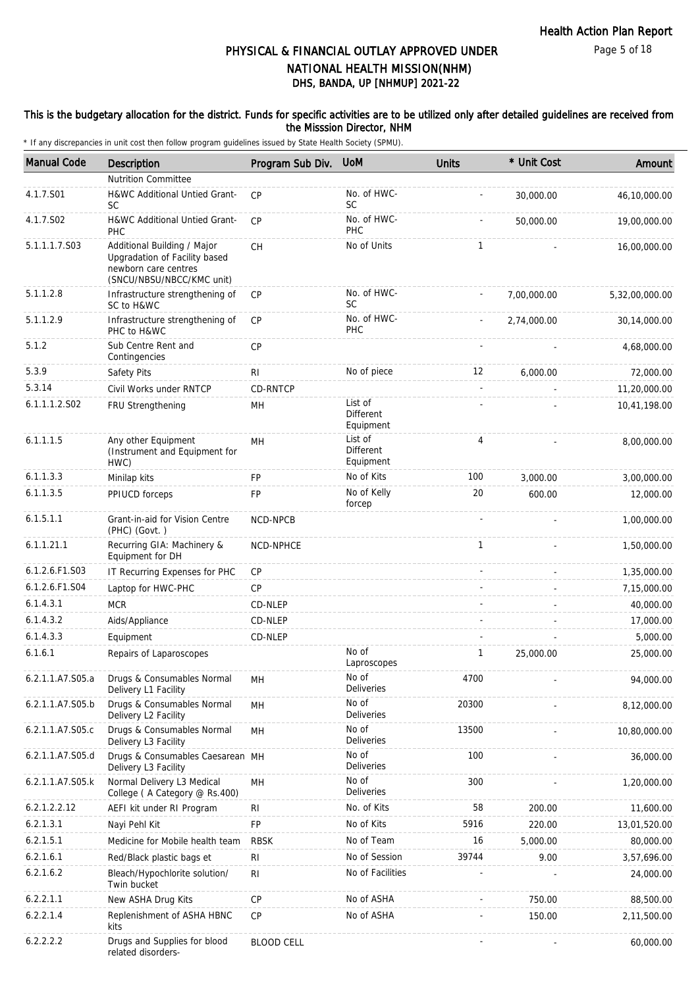### This is the budgetary allocation for the district. Funds for specific activities are to be utilized only after detailed guidelines are received from the Misssion Director, NHM

| <b>Manual Code</b> | Description                                                                                                       | Program Sub Div.  | <b>UoM</b>                               | <b>Units</b>             | * Unit Cost | Amount         |
|--------------------|-------------------------------------------------------------------------------------------------------------------|-------------------|------------------------------------------|--------------------------|-------------|----------------|
|                    | <b>Nutrition Committee</b>                                                                                        |                   |                                          |                          |             |                |
| 4.1.7.S01          | H&WC Additional Untied Grant-<br><b>SC</b>                                                                        | CP                | No. of HWC-<br>SC                        |                          | 30,000.00   | 46,10,000.00   |
| 4.1.7.S02          | H&WC Additional Untied Grant-<br>PHC                                                                              | CP                | No. of HWC-<br>PHC                       |                          | 50,000.00   | 19,00,000.00   |
| 5.1.1.1.7.S03      | Additional Building / Major<br>Upgradation of Facility based<br>newborn care centres<br>(SNCU/NBSU/NBCC/KMC unit) | CH                | No of Units                              | 1                        |             | 16,00,000.00   |
| 5.1.1.2.8          | Infrastructure strengthening of<br>SC to H&WC                                                                     | <b>CP</b>         | No. of HWC-<br><b>SC</b>                 |                          | 7,00,000.00 | 5,32,00,000.00 |
| 5.1.1.2.9          | Infrastructure strengthening of<br>PHC to H&WC                                                                    | <b>CP</b>         | No. of HWC-<br>PHC                       |                          | 2,74,000.00 | 30,14,000.00   |
| 5.1.2              | Sub Centre Rent and<br>Contingencies                                                                              | <b>CP</b>         |                                          |                          |             | 4,68,000.00    |
| 5.3.9              | Safety Pits                                                                                                       | <b>RI</b>         | No of piece                              | 12                       | 6,000.00    | 72,000.00      |
| 5.3.14             | Civil Works under RNTCP                                                                                           | CD-RNTCP          |                                          | $\overline{\phantom{a}}$ |             | 11,20,000.00   |
| 6.1.1.1.2.S02      | FRU Strengthening                                                                                                 | MН                | List of<br><b>Different</b><br>Equipment |                          |             | 10,41,198.00   |
| 6.1.1.1.5          | Any other Equipment<br>(Instrument and Equipment for<br>HWC)                                                      | MH                | List of<br>Different<br>Equipment        | $\overline{4}$           |             | 8,00,000.00    |
| 6.1.1.3.3          | Minilap kits                                                                                                      | <b>FP</b>         | No of Kits                               | 100                      | 3,000.00    | 3,00,000.00    |
| 6.1.1.3.5          | PPIUCD forceps                                                                                                    | FP                | No of Kelly<br>forcep                    | 20                       | 600.00      | 12,000.00      |
| 6.1.5.1.1          | Grant-in-aid for Vision Centre<br>(PHC) (Govt.)                                                                   | NCD-NPCB          |                                          |                          |             | 1,00,000.00    |
| 6.1.1.21.1         | Recurring GIA: Machinery &<br>Equipment for DH                                                                    | NCD-NPHCE         |                                          | $\mathbf{1}$             |             | 1,50,000.00    |
| 6.1.2.6.F1.S03     | IT Recurring Expenses for PHC                                                                                     | <b>CP</b>         |                                          | $\mathbf{r}$             |             | 1,35,000.00    |
| 6.1.2.6.F1.S04     | Laptop for HWC-PHC                                                                                                | <b>CP</b>         |                                          |                          |             | 7,15,000.00    |
| 6.1.4.3.1          | <b>MCR</b>                                                                                                        | CD-NLEP           |                                          |                          |             | 40,000.00      |
| 6.1.4.3.2          | Aids/Appliance                                                                                                    | CD-NLEP           |                                          |                          |             | 17,000.00      |
| 6.1.4.3.3          | Equipment                                                                                                         | CD-NLEP           |                                          |                          |             | 5,000.00       |
| 6.1.6.1            | Repairs of Laparoscopes                                                                                           |                   | No of<br>Laproscopes                     | $\mathbf{1}$             | 25,000.00   | 25,000.00      |
| 6.2.1.1.A7.S05.a   | Drugs & Consumables Normal<br>Delivery L1 Facility                                                                | MН                | No of<br>Deliveries                      | 4700                     |             | 94,000.00      |
| 6.2.1.1.A7.S05.b   | Drugs & Consumables Normal<br>Delivery L2 Facility                                                                | MН                | No of<br><b>Deliveries</b>               | 20300                    |             | 8,12,000.00    |
| 6.2.1.1.A7.S05.c   | Drugs & Consumables Normal<br>Delivery L3 Facility                                                                | MH                | No of<br>Deliveries                      | 13500                    |             | 10,80,000.00   |
| 6.2.1.1.A7.S05.d   | Drugs & Consumables Caesarean MH<br>Delivery L3 Facility                                                          |                   | No of<br>Deliveries                      | 100                      |             | 36,000.00      |
| 6.2.1.1.A7.S05.k   | Normal Delivery L3 Medical<br>College (A Category @ Rs.400)                                                       | MН                | No of<br><b>Deliveries</b>               | 300                      |             | 1,20,000.00    |
| 6.2.1.2.2.12       | AEFI kit under RI Program                                                                                         | RI                | No. of Kits                              | 58                       | 200.00      | 11,600.00      |
| 6.2.1.3.1          | Nayi Pehl Kit                                                                                                     | FP                | No of Kits                               | 5916                     | 220.00      | 13,01,520.00   |
| 6.2.1.5.1          | Medicine for Mobile health team                                                                                   | <b>RBSK</b>       | No of Team                               | 16                       | 5,000.00    | 80,000.00      |
| 6.2.1.6.1          | Red/Black plastic bags et                                                                                         | <b>RI</b>         | No of Session                            | 39744                    | 9.00        | 3,57,696.00    |
| 6.2.1.6.2          | Bleach/Hypochlorite solution/<br>Twin bucket                                                                      | <b>RI</b>         | No of Facilities                         |                          |             | 24,000.00      |
| 6.2.2.1.1          | New ASHA Drug Kits                                                                                                | CP                | No of ASHA                               |                          | 750.00      | 88,500.00      |
| 6.2.2.1.4          | Replenishment of ASHA HBNC<br>kits                                                                                | <b>CP</b>         | No of ASHA                               |                          | 150.00      | 2,11,500.00    |
| 6.2.2.2.2          | Drugs and Supplies for blood<br>related disorders-                                                                | <b>BLOOD CELL</b> |                                          |                          |             | 60,000.00      |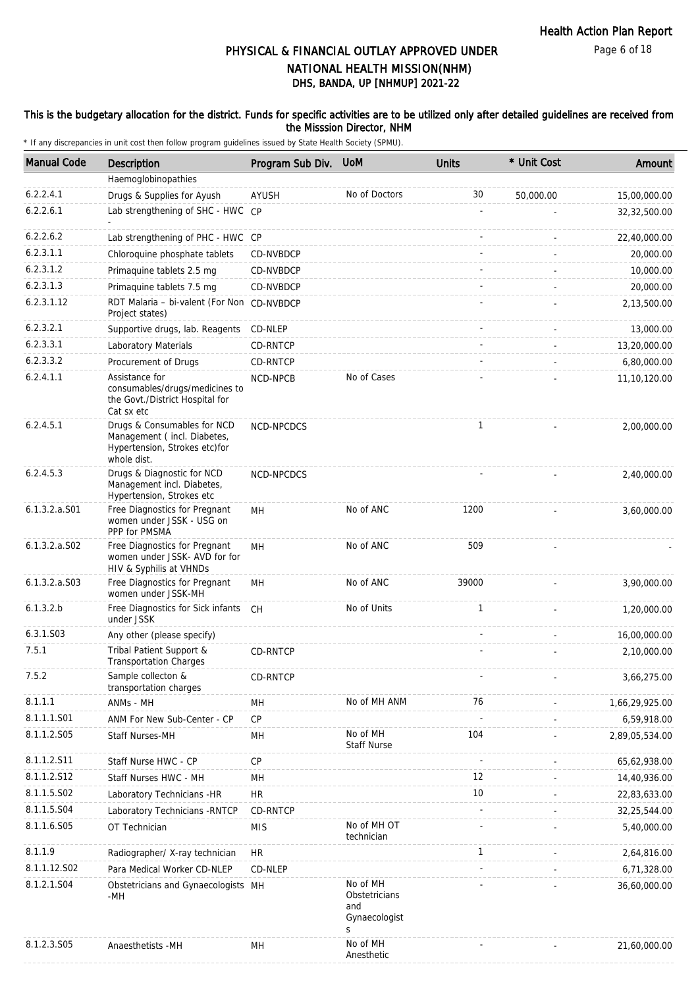### This is the budgetary allocation for the district. Funds for specific activities are to be utilized only after detailed guidelines are received from the Misssion Director, NHM

| <b>Manual Code</b> | Description                                                                                                | Program Sub Div. | <b>UoM</b>                                             | Units        | * Unit Cost | Amount         |
|--------------------|------------------------------------------------------------------------------------------------------------|------------------|--------------------------------------------------------|--------------|-------------|----------------|
|                    | Haemoglobinopathies                                                                                        |                  |                                                        |              |             |                |
| 6.2.2.4.1          | Drugs & Supplies for Ayush                                                                                 | AYUSH            | No of Doctors                                          | 30           | 50,000.00   | 15,00,000.00   |
| 6.2.2.6.1          | Lab strengthening of SHC - HWC CP                                                                          |                  |                                                        |              |             | 32,32,500.00   |
| 6.2.2.6.2          | Lab strengthening of PHC - HWC CP                                                                          |                  |                                                        |              |             | 22,40,000.00   |
| 6.2.3.1.1          | Chloroquine phosphate tablets                                                                              | CD-NVBDCP        |                                                        |              |             | 20,000.00      |
| 6.2.3.1.2          | Primaquine tablets 2.5 mg                                                                                  | CD-NVBDCP        |                                                        |              |             | 10,000.00      |
| 6.2.3.1.3          | Primaguine tablets 7.5 mg                                                                                  | CD-NVBDCP        |                                                        |              |             | 20,000.00      |
| 6.2.3.1.12         | RDT Malaria - bi-valent (For Non CD-NVBDCP<br>Project states)                                              |                  |                                                        |              |             | 2,13,500.00    |
| 6.2.3.2.1          | Supportive drugs, lab. Reagents                                                                            | CD-NLEP          |                                                        |              |             | 13,000.00      |
| 6.2.3.3.1          | Laboratory Materials                                                                                       | CD-RNTCP         |                                                        |              |             | 13,20,000.00   |
| 6.2.3.3.2          | Procurement of Drugs                                                                                       | CD-RNTCP         |                                                        |              |             | 6,80,000.00    |
| 6.2.4.1.1          | Assistance for<br>consumables/drugs/medicines to<br>the Govt./District Hospital for<br>Cat sx etc          | NCD-NPCB         | No of Cases                                            |              |             | 11,10,120.00   |
| 6.2.4.5.1          | Drugs & Consumables for NCD<br>Management (incl. Diabetes,<br>Hypertension, Strokes etc)for<br>whole dist. | NCD-NPCDCS       |                                                        | $\mathbf{1}$ |             | 2,00,000.00    |
| 6.2.4.5.3          | Drugs & Diagnostic for NCD<br>Management incl. Diabetes,<br>Hypertension, Strokes etc                      | NCD-NPCDCS       |                                                        |              |             | 2,40,000.00    |
| 6.1.3.2.a.S01      | Free Diagnostics for Pregnant<br>women under JSSK - USG on<br>PPP for PMSMA                                | <b>MH</b>        | No of ANC                                              | 1200         |             | 3,60,000.00    |
| $6.1.3.2.a.$ SO2   | Free Diagnostics for Pregnant<br>women under JSSK- AVD for for<br>HIV & Syphilis at VHNDs                  | MН               | No of ANC                                              | 509          |             |                |
| $6.1.3.2.a.$ SO3   | Free Diagnostics for Pregnant<br>women under JSSK-MH                                                       | MH               | No of ANC                                              | 39000        |             | 3,90,000.00    |
| 6.1.3.2.b          | Free Diagnostics for Sick infants<br>under JSSK                                                            | CH               | No of Units                                            | $\mathbf{1}$ |             | 1,20,000.00    |
| 6.3.1.S03          | Any other (please specify)                                                                                 |                  |                                                        |              |             | 16,00,000.00   |
| 7.5.1              | Tribal Patient Support &<br><b>Transportation Charges</b>                                                  | CD-RNTCP         |                                                        |              |             | 2,10,000.00    |
| 7.5.2              | Sample collecton &<br>transportation charges                                                               | CD-RNTCP         |                                                        |              |             | 3,66,275.00    |
| 8.1.1.1            | ANMs - MH                                                                                                  | MH               | No of MH ANM                                           | 76           |             | 1,66,29,925.00 |
| 8.1.1.1.S01        | ANM For New Sub-Center - CP                                                                                | CP               |                                                        |              |             | 6,59,918.00    |
| 8.1.1.2.S05        | Staff Nurses-MH                                                                                            | MН               | No of MH<br><b>Staff Nurse</b>                         | 104          |             | 2,89,05,534.00 |
| 8.1.1.2.S11        | Staff Nurse HWC - CP                                                                                       | <b>CP</b>        |                                                        |              |             | 65,62,938.00   |
| 8.1.1.2.S12        | Staff Nurses HWC - MH                                                                                      | MН               |                                                        | 12           |             | 14,40,936.00   |
| 8.1.1.5.S02        | Laboratory Technicians - HR                                                                                | <b>HR</b>        |                                                        | 10           |             | 22,83,633.00   |
| 8.1.1.5.S04        | Laboratory Technicians - RNTCP                                                                             | CD-RNTCP         |                                                        |              |             | 32,25,544.00   |
| 8.1.1.6.S05        | OT Technician                                                                                              | <b>MIS</b>       | No of MH OT<br>technician                              |              |             | 5,40,000.00    |
| 8.1.1.9            | Radiographer/ X-ray technician                                                                             | <b>HR</b>        |                                                        | 1            |             | 2,64,816.00    |
| 8.1.1.12.S02       | Para Medical Worker CD-NLEP                                                                                | CD-NLEP          |                                                        |              |             | 6,71,328.00    |
| 8.1.2.1.S04        | Obstetricians and Gynaecologists MH<br>$-MH$                                                               |                  | No of MH<br>Obstetricians<br>and<br>Gynaecologist<br>S |              |             | 36,60,000.00   |
| 8.1.2.3.S05        | Anaesthetists -MH                                                                                          | MH               | No of MH<br>Anesthetic                                 |              |             | 21,60,000.00   |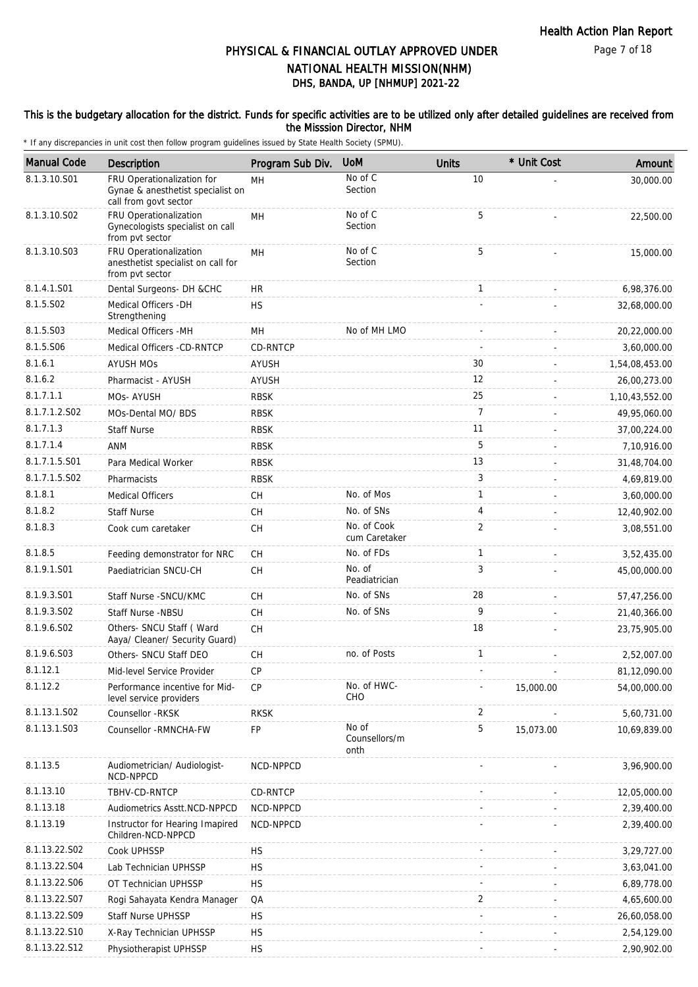### This is the budgetary allocation for the district. Funds for specific activities are to be utilized only after detailed guidelines are received from the Misssion Director, NHM

| <b>Manual Code</b> | Description                                                                              | Program Sub Div. | <b>UoM</b>                     | <b>Units</b>   | * Unit Cost | Amount         |
|--------------------|------------------------------------------------------------------------------------------|------------------|--------------------------------|----------------|-------------|----------------|
| 8.1.3.10.S01       | FRU Operationalization for<br>Gynae & anesthetist specialist on<br>call from govt sector | MH               | No of C<br>Section             | 10             |             | 30,000.00      |
| 8.1.3.10.S02       | FRU Operationalization<br>Gynecologists specialist on call<br>from pvt sector            | MH               | No of C<br>Section             | 5              |             | 22,500.00      |
| 8.1.3.10.S03       | FRU Operationalization<br>anesthetist specialist on call for<br>from pvt sector          | <b>MH</b>        | No of C<br>Section             | 5              |             | 15,000.00      |
| 8.1.4.1.S01        | Dental Surgeons- DH &CHC                                                                 | HR.              |                                | $\mathbf{1}$   |             | 6,98,376.00    |
| 8.1.5.S02          | Medical Officers - DH<br>Strengthening                                                   | <b>HS</b>        |                                |                |             | 32,68,000.00   |
| 8.1.5.S03          | Medical Officers -MH                                                                     | MН               | No of MH LMO                   |                |             | 20,22,000.00   |
| 8.1.5.S06          | Medical Officers -CD-RNTCP                                                               | CD-RNTCP         |                                |                |             | 3,60,000.00    |
| 8.1.6.1            | <b>AYUSH MOS</b>                                                                         | <b>AYUSH</b>     |                                | 30             |             | 1,54,08,453.00 |
| 8.1.6.2            | Pharmacist - AYUSH                                                                       | AYUSH            |                                | 12             |             | 26,00,273.00   |
| 8.1.7.1.1          | MOs- AYUSH                                                                               | <b>RBSK</b>      |                                | 25             |             | 1,10,43,552.00 |
| 8.1.7.1.2.S02      | MOs-Dental MO/ BDS                                                                       | <b>RBSK</b>      |                                | $\overline{7}$ |             | 49,95,060.00   |
| 8.1.7.1.3          | <b>Staff Nurse</b>                                                                       | <b>RBSK</b>      |                                | 11             |             | 37,00,224.00   |
| 8.1.7.1.4          | <b>ANM</b>                                                                               | <b>RBSK</b>      |                                | 5              |             | 7,10,916.00    |
| 8.1.7.1.5.S01      | Para Medical Worker                                                                      | <b>RBSK</b>      |                                | 13             |             | 31,48,704.00   |
| 8.1.7.1.5.S02      | Pharmacists                                                                              | <b>RBSK</b>      |                                | 3              |             | 4,69,819.00    |
| 8.1.8.1            | <b>Medical Officers</b>                                                                  | CH               | No. of Mos                     | $\mathbf{1}$   |             | 3,60,000.00    |
| 8.1.8.2            | <b>Staff Nurse</b>                                                                       | CH               | No. of SNs                     | 4              |             | 12,40,902.00   |
| 8.1.8.3            | Cook cum caretaker                                                                       | СH               | No. of Cook<br>cum Caretaker   | $\overline{2}$ |             | 3,08,551.00    |
| 8.1.8.5            | Feeding demonstrator for NRC                                                             | <b>CH</b>        | No. of FDs                     | $\mathbf{1}$   |             | 3,52,435.00    |
| 8.1.9.1.S01        | Paediatrician SNCU-CH                                                                    | СH               | No. of<br>Peadiatrician        | 3              |             | 45,00,000.00   |
| 8.1.9.3.S01        | Staff Nurse - SNCU/KMC                                                                   | <b>CH</b>        | No. of SNs                     | 28             |             | 57,47,256.00   |
| 8.1.9.3.SO2        | Staff Nurse -NBSU                                                                        | СH               | No. of SNs                     | 9              |             | 21,40,366.00   |
| 8.1.9.6.SO2        | Others- SNCU Staff (Ward<br>Aaya/ Cleaner/ Security Guard)                               | CH               |                                | 18             |             | 23,75,905.00   |
| 8.1.9.6.S03        | Others- SNCU Staff DEO                                                                   | СH               | no. of Posts                   | $\mathbf{1}$   |             | 2,52,007.00    |
| 8.1.12.1           | Mid-level Service Provider                                                               | <b>CP</b>        |                                |                |             | 81.12.090.00   |
| 8.1.12.2           | Performance incentive for Mid-<br>level service providers                                | <b>CP</b>        | No. of HWC-<br>CHO             |                | 15,000.00   | 54,00,000.00   |
| 8.1.13.1.S02       | Counsellor - RKSK                                                                        | <b>RKSK</b>      |                                | 2              |             | 5,60,731.00    |
| 8.1.13.1.S03       | Counsellor - RMNCHA-FW                                                                   | FP               | No of<br>Counsellors/m<br>onth | 5              | 15,073.00   | 10,69,839.00   |
| 8.1.13.5           | Audiometrician/ Audiologist-<br>NCD-NPPCD                                                | NCD-NPPCD        |                                |                |             | 3,96,900.00    |
| 8.1.13.10          | TBHV-CD-RNTCP                                                                            | CD-RNTCP         |                                |                |             | 12,05,000.00   |
| 8.1.13.18          | Audiometrics Asstt.NCD-NPPCD                                                             | NCD-NPPCD        |                                |                |             | 2,39,400.00    |
| 8.1.13.19          | Instructor for Hearing Imapired<br>Children-NCD-NPPCD                                    | NCD-NPPCD        |                                |                |             | 2,39,400.00    |
| 8.1.13.22.S02      | Cook UPHSSP                                                                              | <b>HS</b>        |                                |                |             | 3,29,727.00    |
| 8.1.13.22.S04      | Lab Technician UPHSSP                                                                    | НS               |                                |                |             | 3,63,041.00    |
| 8.1.13.22.S06      | OT Technician UPHSSP                                                                     | HS               |                                |                |             | 6,89,778.00    |
| 8.1.13.22.S07      | Rogi Sahayata Kendra Manager                                                             | QA               |                                | 2              |             | 4,65,600.00    |
| 8.1.13.22.S09      | Staff Nurse UPHSSP                                                                       | <b>HS</b>        |                                |                |             | 26,60,058.00   |
| 8.1.13.22.S10      | X-Ray Technician UPHSSP                                                                  | HS               |                                |                |             | 2,54,129.00    |
| 8.1.13.22.S12      | Physiotherapist UPHSSP                                                                   | <b>HS</b>        |                                |                |             | 2,90,902.00    |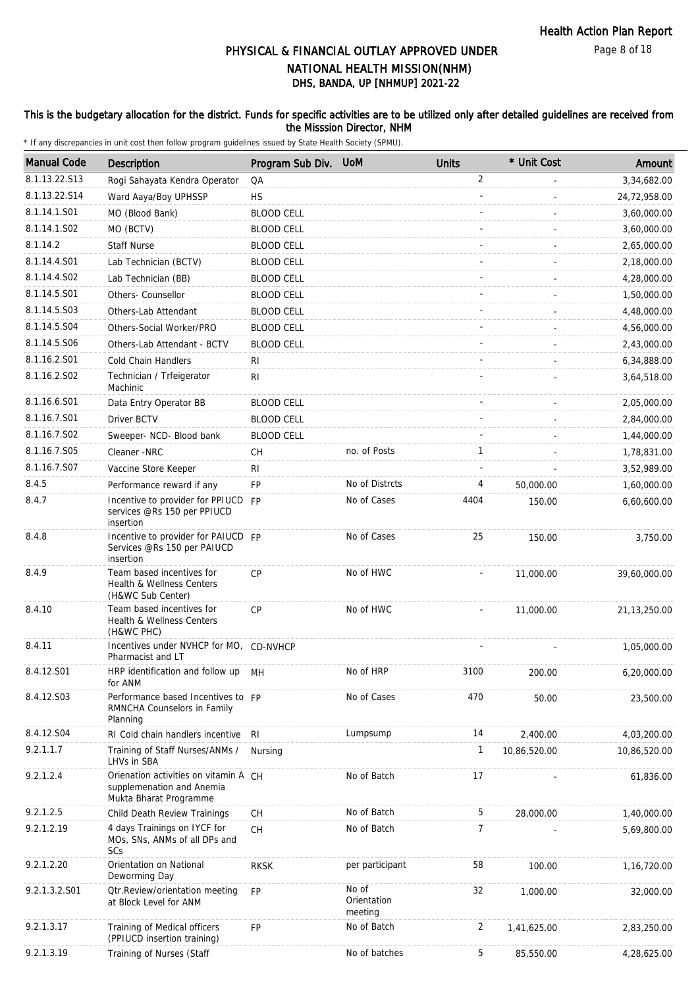Page 8 of 18

# DHS, BANDA, UP [NHMUP] 2021-22 PHYSICAL & FINANCIAL OUTLAY APPROVED UNDER NATIONAL HEALTH MISSION(NHM)

### This is the budgetary allocation for the district. Funds for specific activities are to be utilized only after detailed guidelines are received from the Misssion Director, NHM

| <b>Manual Code</b> | <b>Description</b>                                                                           | Program Sub Div.  | <b>UoM</b>                      | <b>Units</b>   | * Unit Cost  | Amount         |
|--------------------|----------------------------------------------------------------------------------------------|-------------------|---------------------------------|----------------|--------------|----------------|
| 8.1.13.22.S13      | Rogi Sahayata Kendra Operator                                                                | QA                |                                 | $\overline{2}$ |              | 3,34,682.00    |
| 8.1.13.22.S14      | Ward Aaya/Boy UPHSSP                                                                         | <b>HS</b>         |                                 |                |              | 24,72,958.00   |
| 8.1.14.1.S01       | MO (Blood Bank)                                                                              | <b>BLOOD CELL</b> |                                 |                |              | 3,60,000.00    |
| 8.1.14.1.S02       | MO (BCTV)                                                                                    | <b>BLOOD CELL</b> |                                 |                |              | 3,60,000.00    |
| 8.1.14.2           | <b>Staff Nurse</b>                                                                           | <b>BLOOD CELL</b> |                                 |                |              | 2,65,000.00    |
| 8.1.14.4.S01       | Lab Technician (BCTV)                                                                        | <b>BLOOD CELL</b> |                                 |                |              | 2,18,000.00    |
| 8.1.14.4.S02       | Lab Technician (BB)                                                                          | <b>BLOOD CELL</b> |                                 |                |              | 4,28,000.00    |
| 8.1.14.5.S01       | Others- Counsellor                                                                           | <b>BLOOD CELL</b> |                                 |                |              | 1,50,000.00    |
| 8.1.14.5.S03       | Others-Lab Attendant                                                                         | <b>BLOOD CELL</b> |                                 |                |              | 4,48,000.00    |
| 8.1.14.5.S04       | Others-Social Worker/PRO                                                                     | <b>BLOOD CELL</b> |                                 |                |              | 4,56,000.00    |
| 8.1.14.5.S06       | Others-Lab Attendant - BCTV                                                                  | <b>BLOOD CELL</b> |                                 |                |              | 2,43,000.00    |
| 8.1.16.2.S01       | Cold Chain Handlers                                                                          | RI                |                                 |                |              | 6,34,888.00    |
| 8.1.16.2.S02       | Technician / Trfeigerator<br>Machinic                                                        | R <sub>1</sub>    |                                 |                |              | 3,64,518.00    |
| 8.1.16.6.S01       | Data Entry Operator BB                                                                       | <b>BLOOD CELL</b> |                                 |                |              | 2,05,000.00    |
| 8.1.16.7.S01       | Driver BCTV                                                                                  | <b>BLOOD CELL</b> |                                 |                |              | 2,84,000.00    |
| 8.1.16.7.S02       | Sweeper- NCD- Blood bank                                                                     | <b>BLOOD CELL</b> |                                 |                |              | 1,44,000.00    |
| 8.1.16.7.S05       | Cleaner -NRC                                                                                 | СH                | no. of Posts                    | $\mathbf{1}$   |              | 1,78,831.00    |
| 8.1.16.7.S07       | Vaccine Store Keeper                                                                         | <b>RI</b>         |                                 |                |              | 3,52,989.00    |
| 8.4.5              | Performance reward if any                                                                    | FP                | No of Distrcts                  | 4              | 50,000.00    | 1,60,000.00    |
| 8.4.7              | Incentive to provider for PPIUCD FP<br>services @Rs 150 per PPIUCD<br>insertion              |                   | No of Cases                     | 4404           | 150.00       | 6,60,600.00    |
| 8.4.8              | Incentive to provider for PAIUCD FP<br>Services @Rs 150 per PAIUCD<br>insertion              |                   | No of Cases                     | 25             | 150.00       | 3,750.00       |
| 8.4.9              | Team based incentives for<br>Health & Wellness Centers<br>(H&WC Sub Center)                  | CP                | No of HWC                       |                | 11,000.00    | 39,60,000.00   |
| 8.4.10             | Team based incentives for<br><b>Health &amp; Wellness Centers</b><br>(H&WC PHC)              | <b>CP</b>         | No of HWC                       |                | 11,000.00    | 21, 13, 250.00 |
| 8.4.11             | Incentives under NVHCP for MO, CD-NVHCP<br>Pharmacist and LT                                 |                   |                                 |                |              | 1,05,000.00    |
| 8.4.12.S01         | HRP identification and follow up MH<br>for ANM                                               |                   | No of HRP                       | 3100           | 200.00       | 6,20,000.00    |
| 8.4.12.S03         | Performance based Incentives to FP<br>RMNCHA Counselors in Family<br>Planning                |                   | No of Cases                     | 470            | 50.00        | 23,500.00      |
| 8.4.12.S04         | RI Cold chain handlers incentive                                                             | -RI               | Lumpsump                        | 14             | 2,400.00     | 4,03,200.00    |
| 9.2.1.1.7          | Training of Staff Nurses/ANMs /<br>LHVs in SBA                                               | Nursing           |                                 | 1              | 10,86,520.00 | 10,86,520.00   |
| 9.2.1.2.4          | Orienation activities on vitamin A CH<br>supplemenation and Anemia<br>Mukta Bharat Programme |                   | No of Batch                     | 17             |              | 61,836.00      |
| 9.2.1.2.5          | Child Death Review Trainings                                                                 | CH                | No of Batch                     | 5              | 28,000.00    | 1,40,000.00    |
| 9.2.1.2.19         | 4 days Trainings on IYCF for<br>MOs, SNs, ANMs of all DPs and<br>SCs                         | <b>CH</b>         | No of Batch                     | 7              |              | 5,69,800.00    |
| 9.2.1.2.20         | Orientation on National<br>Deworming Day                                                     | <b>RKSK</b>       | per participant                 | 58             | 100.00       | 1,16,720.00    |
| 9.2.1.3.2.S01      | <b>Qtr.Review/orientation meeting</b><br>at Block Level for ANM                              | <b>FP</b>         | No of<br>Orientation<br>meeting | 32             | 1,000.00     | 32,000.00      |
| 9.2.1.3.17         | Training of Medical officers<br>(PPIUCD insertion training)                                  | <b>FP</b>         | No of Batch                     | 2              | 1,41,625.00  | 2,83,250.00    |
| 9.2.1.3.19         | Training of Nurses (Staff                                                                    |                   | No of batches                   | 5              | 85,550.00    | 4,28,625.00    |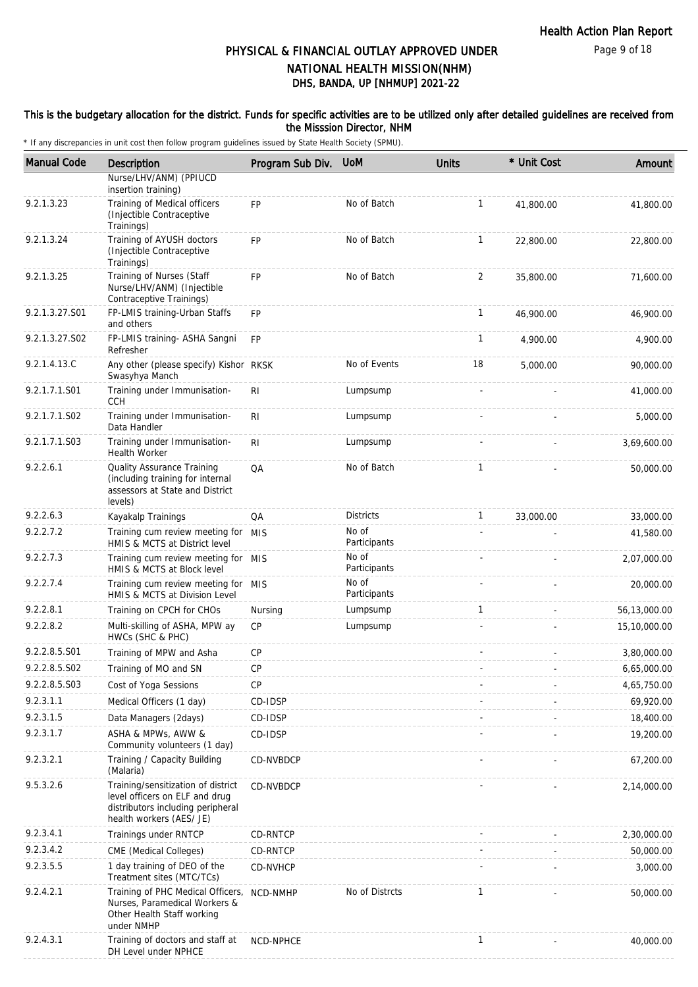### This is the budgetary allocation for the district. Funds for specific activities are to be utilized only after detailed guidelines are received from the Misssion Director, NHM

| <b>Manual Code</b>        | Description                                                                                                                           | Program Sub Div. | <b>UoM</b>            | <b>Units</b> | * Unit Cost | Amount       |
|---------------------------|---------------------------------------------------------------------------------------------------------------------------------------|------------------|-----------------------|--------------|-------------|--------------|
|                           | Nurse/LHV/ANM) (PPIUCD<br>insertion training)                                                                                         |                  |                       |              |             |              |
| 9.2.1.3.23                | Training of Medical officers<br>(Injectible Contraceptive<br>Trainings)                                                               | FP               | No of Batch           | $\mathbf{1}$ | 41,800.00   | 41,800.00    |
| 9.2.1.3.24                | Training of AYUSH doctors<br>(Injectible Contraceptive<br>Trainings)                                                                  | <b>FP</b>        | No of Batch           | $\mathbf{1}$ | 22,800.00   | 22,800.00    |
| 9.2.1.3.25                | Training of Nurses (Staff<br>Nurse/LHV/ANM) (Injectible<br>Contraceptive Trainings)                                                   | <b>FP</b>        | No of Batch           | 2            | 35,800.00   | 71,600.00    |
| 9.2.1.3.27.S01            | FP-LMIS training-Urban Staffs<br>and others                                                                                           | <b>FP</b>        |                       | $\mathbf{1}$ | 46,900.00   | 46,900.00    |
| 9.2.1.3.27.S02            | FP-LMIS training- ASHA Sangni<br>Refresher                                                                                            | <b>FP</b>        |                       | $\mathbf{1}$ | 4,900.00    | 4,900.00     |
| 9.2.1.4.13.C              | Any other (please specify) Kishor RKSK<br>Swasyhya Manch                                                                              |                  | No of Events          | 18           | 5,000.00    | 90,000.00    |
| 9.2.1.7.1.S01             | Training under Immunisation-<br><b>CCH</b>                                                                                            | R <sub>l</sub>   | Lumpsump              |              |             | 41,000.00    |
| 9.2.1.7.1.S02             | Training under Immunisation-<br>Data Handler                                                                                          | RI               | Lumpsump              |              |             | 5,000.00     |
| 9.2.1.7.1.S03             | Training under Immunisation-<br><b>Health Worker</b>                                                                                  | <b>RI</b>        | Lumpsump              |              |             | 3,69,600.00  |
| 9.2.2.6.1                 | Quality Assurance Training<br>(including training for internal<br>assessors at State and District<br>levels)                          | QA               | No of Batch           | $\mathbf{1}$ |             | 50,000.00    |
| 9.2.2.6.3                 | Kayakalp Trainings                                                                                                                    | QA               | <b>Districts</b>      | $\mathbf{1}$ | 33,000.00   | 33,000.00    |
| 9.2.2.7.2                 | Training cum review meeting for MIS<br>HMIS & MCTS at District level                                                                  |                  | No of<br>Participants |              |             | 41,580.00    |
| 9.2.2.7.3                 | Training cum review meeting for MIS<br>HMIS & MCTS at Block level                                                                     |                  | No of<br>Participants |              |             | 2,07,000.00  |
| 9.2.2.7.4                 | Training cum review meeting for MIS<br>HMIS & MCTS at Division Level                                                                  |                  | No of<br>Participants |              |             | 20,000.00    |
| 9.2.2.8.1                 | Training on CPCH for CHOs                                                                                                             | Nursing          | Lumpsump              | $\mathbf{1}$ |             | 56,13,000.00 |
| 9.2.2.8.2                 | Multi-skilling of ASHA, MPW ay<br>HWCs (SHC & PHC)                                                                                    | <b>CP</b>        | Lumpsump              |              |             | 15,10,000.00 |
| 9.2.2.8.5.S01             | Training of MPW and Asha                                                                                                              | CP               |                       |              |             | 3,80,000.00  |
| 9.2.2.8.5.SO <sub>2</sub> | Training of MO and SN                                                                                                                 | <b>CP</b>        |                       |              |             | 6,65,000.00  |
| 9.2.2.8.5.S03             | Cost of Yoga Sessions                                                                                                                 | CP               |                       |              |             | 4,65,750.00  |
| 9.2.3.1.1                 | Medical Officers (1 day)                                                                                                              | CD-IDSP          |                       |              |             | 69,920.00    |
| 9.2.3.1.5                 | Data Managers (2days)                                                                                                                 | CD-IDSP          |                       |              |             | 18,400.00    |
| 9.2.3.1.7                 | ASHA & MPWs, AWW &<br>Community volunteers (1 day)                                                                                    | CD-IDSP          |                       |              |             | 19,200.00    |
| 9.2.3.2.1                 | Training / Capacity Building<br>(Malaria)                                                                                             | CD-NVBDCP        |                       |              |             | 67,200.00    |
| 9.5.3.2.6                 | Training/sensitization of district<br>level officers on ELF and drug<br>distributors including peripheral<br>health workers (AES/ JE) | CD-NVBDCP        |                       |              |             | 2,14,000.00  |
| 9.2.3.4.1                 | Trainings under RNTCP                                                                                                                 | CD-RNTCP         |                       |              |             | 2,30,000.00  |
| 9.2.3.4.2                 | CME (Medical Colleges)                                                                                                                | CD-RNTCP         |                       |              |             | 50,000.00    |
| 9.2.3.5.5                 | 1 day training of DEO of the<br>Treatment sites (MTC/TCs)                                                                             | CD-NVHCP         |                       |              |             | 3,000.00     |
| 9.2.4.2.1                 | Training of PHC Medical Officers,<br>Nurses, Paramedical Workers &<br>Other Health Staff working<br>under NMHP                        | NCD-NMHP         | No of Distrcts        | 1            |             | 50,000.00    |
| 9.2.4.3.1                 | Training of doctors and staff at<br>DH Level under NPHCE                                                                              | NCD-NPHCE        |                       | $\mathbf{1}$ |             | 40,000.00    |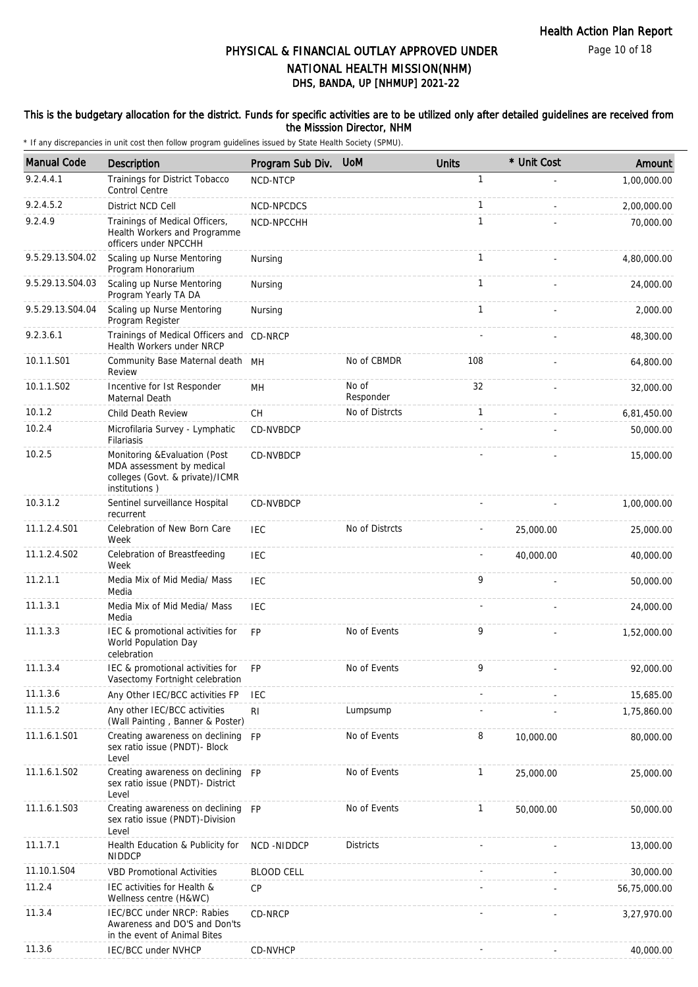Page 10 of 18

## DHS, BANDA, UP [NHMUP] 2021-22 PHYSICAL & FINANCIAL OUTLAY APPROVED UNDER NATIONAL HEALTH MISSION(NHM)

### This is the budgetary allocation for the district. Funds for specific activities are to be utilized only after detailed guidelines are received from the Misssion Director, NHM

| <b>Manual Code</b> | Description                                                                                                    | Program Sub Div.  | <b>UoM</b>         | <b>Units</b> | * Unit Cost | Amount       |
|--------------------|----------------------------------------------------------------------------------------------------------------|-------------------|--------------------|--------------|-------------|--------------|
| 9.2.4.4.1          | Trainings for District Tobacco<br><b>Control Centre</b>                                                        | NCD-NTCP          |                    | 1            |             | 1,00,000.00  |
| 9.2.4.5.2          | District NCD Cell                                                                                              | NCD-NPCDCS        |                    | 1            |             | 2,00,000.00  |
| 9.2.4.9            | Trainings of Medical Officers,<br>Health Workers and Programme<br>officers under NPCCHH                        | NCD-NPCCHH        |                    | 1            |             | 70,000.00    |
| 9.5.29.13.S04.02   | Scaling up Nurse Mentoring<br>Program Honorarium                                                               | Nursing           |                    | 1            |             | 4,80,000.00  |
| 9.5.29.13.S04.03   | Scaling up Nurse Mentoring<br>Program Yearly TA DA                                                             | Nursing           |                    | $\mathbf{1}$ |             | 24,000.00    |
| 9.5.29.13.S04.04   | Scaling up Nurse Mentoring<br>Program Register                                                                 | Nursing           |                    | 1            |             | 2.000.00     |
| 9.2.3.6.1          | Trainings of Medical Officers and CD-NRCP<br>Health Workers under NRCP                                         |                   |                    |              |             | 48,300.00    |
| 10.1.1.S01         | Community Base Maternal death MH<br>Review                                                                     |                   | No of CBMDR        | 108          |             | 64,800.00    |
| 10.1.1.S02         | Incentive for Ist Responder<br>Maternal Death                                                                  | <b>MH</b>         | No of<br>Responder | 32           |             | 32,000.00    |
| 10.1.2             | <b>Child Death Review</b>                                                                                      | <b>CH</b>         | No of Distrcts     | 1            |             | 6,81,450.00  |
| 10.2.4             | Microfilaria Survey - Lymphatic<br>Filariasis                                                                  | CD-NVBDCP         |                    |              |             | 50,000.00    |
| 10.2.5             | Monitoring & Evaluation (Post<br>MDA assessment by medical<br>colleges (Govt. & private)/ICMR<br>institutions) | CD-NVBDCP         |                    |              |             | 15,000.00    |
| 10.3.1.2           | Sentinel surveillance Hospital<br>recurrent                                                                    | <b>CD-NVBDCP</b>  |                    |              |             | 1,00,000.00  |
| 11.1.2.4.S01       | Celebration of New Born Care<br>Week                                                                           | <b>IEC</b>        | No of Distrcts     |              | 25,000.00   | 25,000.00    |
| 11.1.2.4.S02       | Celebration of Breastfeeding<br>Week                                                                           | <b>IEC</b>        |                    |              | 40,000.00   | 40,000.00    |
| 11.2.1.1           | Media Mix of Mid Media/ Mass<br>Media                                                                          | <b>IEC</b>        |                    | 9            |             | 50,000.00    |
| 11.1.3.1           | Media Mix of Mid Media/ Mass<br>Media                                                                          | <b>IEC</b>        |                    |              |             | 24,000.00    |
| 11.1.3.3           | IEC & promotional activities for<br>World Population Day<br>celebration                                        | <b>FP</b>         | No of Events       | 9            |             | 1,52,000.00  |
| 11.1.3.4           | IEC & promotional activities for<br>Vasectomy Fortnight celebration                                            | <b>FP</b>         | No of Events       | 9            |             | 92,000.00    |
| 11.1.3.6           | Any Other IEC/BCC activities FP                                                                                | <b>IEC</b>        |                    |              |             | 15,685.00    |
| 11.1.5.2           | Any other IEC/BCC activities<br>(Wall Painting, Banner & Poster)                                               | R <sub>l</sub>    | Lumpsump           |              |             | 1,75,860.00  |
| 11.1.6.1.S01       | Creating awareness on declining FP<br>sex ratio issue (PNDT)- Block<br>Level                                   |                   | No of Events       | 8            | 10,000.00   | 80,000.00    |
| 11.1.6.1.S02       | Creating awareness on declining FP<br>sex ratio issue (PNDT)- District<br>Level                                |                   | No of Events       | 1            | 25,000.00   | 25,000.00    |
| 11.1.6.1.S03       | Creating awareness on declining FP<br>sex ratio issue (PNDT)-Division<br>Level                                 |                   | No of Events       | $\mathbf{1}$ | 50,000.00   | 50,000.00    |
| 11.1.7.1           | Health Education & Publicity for<br><b>NIDDCP</b>                                                              | NCD-NIDDCP        | <b>Districts</b>   |              |             | 13,000.00    |
| 11.10.1.S04        | <b>VBD Promotional Activities</b>                                                                              | <b>BLOOD CELL</b> |                    |              |             | 30,000.00    |
| 11.2.4             | IEC activities for Health &<br>Wellness centre (H&WC)                                                          | <b>CP</b>         |                    |              |             | 56,75,000.00 |
| 11.3.4             | IEC/BCC under NRCP: Rabies<br>Awareness and DO'S and Don'ts<br>in the event of Animal Bites                    | CD-NRCP           |                    |              |             | 3,27,970.00  |
| 11.3.6             | IEC/BCC under NVHCP                                                                                            | CD-NVHCP          |                    |              |             | 40,000.00    |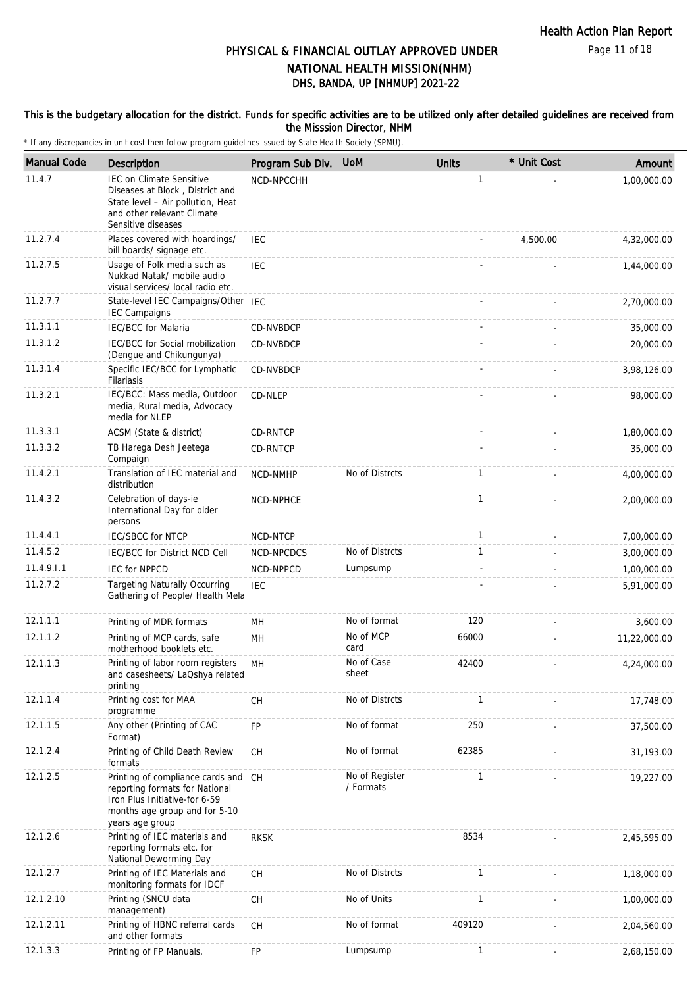Page 11 of 18

## DHS, BANDA, UP [NHMUP] 2021-22 PHYSICAL & FINANCIAL OUTLAY APPROVED UNDER NATIONAL HEALTH MISSION(NHM)

### This is the budgetary allocation for the district. Funds for specific activities are to be utilized only after detailed guidelines are received from the Misssion Director, NHM

| <b>Manual Code</b> | <b>Description</b>                                                                                                                                          | Program Sub Div. | <b>UoM</b>                  | <b>Units</b> | * Unit Cost | Amount       |
|--------------------|-------------------------------------------------------------------------------------------------------------------------------------------------------------|------------------|-----------------------------|--------------|-------------|--------------|
| 11.4.7             | <b>IEC on Climate Sensitive</b><br>Diseases at Block, District and<br>State level - Air pollution, Heat<br>and other relevant Climate<br>Sensitive diseases | NCD-NPCCHH       |                             | $\mathbf{1}$ |             | 1,00,000.00  |
| 11.2.7.4           | Places covered with hoardings/<br>bill boards/ signage etc.                                                                                                 | <b>IEC</b>       |                             |              | 4,500.00    | 4,32,000.00  |
| 11.2.7.5           | Usage of Folk media such as<br>Nukkad Natak/ mobile audio<br>visual services/ local radio etc.                                                              | <b>IEC</b>       |                             |              |             | 1,44,000.00  |
| 11.2.7.7           | State-level IEC Campaigns/Other IEC<br><b>IEC Campaigns</b>                                                                                                 |                  |                             |              |             | 2,70,000.00  |
| 11.3.1.1           | <b>IEC/BCC</b> for Malaria                                                                                                                                  | CD-NVBDCP        |                             |              |             | 35,000.00    |
| 11.3.1.2           | IEC/BCC for Social mobilization<br>(Dengue and Chikungunya)                                                                                                 | CD-NVBDCP        |                             |              |             | 20,000.00    |
| 11.3.1.4           | Specific IEC/BCC for Lymphatic<br>Filariasis                                                                                                                | CD-NVBDCP        |                             |              |             | 3,98,126.00  |
| 11.3.2.1           | IEC/BCC: Mass media, Outdoor<br>media, Rural media, Advocacy<br>media for NLEP                                                                              | CD-NLEP          |                             |              |             | 98,000.00    |
| 11.3.3.1           | ACSM (State & district)                                                                                                                                     | <b>CD-RNTCP</b>  |                             |              |             | 1,80,000.00  |
| 11.3.3.2           | TB Harega Desh Jeetega<br>Compaign                                                                                                                          | CD-RNTCP         |                             |              |             | 35,000.00    |
| 11.4.2.1           | Translation of IEC material and<br>distribution                                                                                                             | NCD-NMHP         | No of Distrcts              | $\mathbf{1}$ |             | 4,00,000.00  |
| 11.4.3.2           | Celebration of days-ie<br>International Day for older<br>persons                                                                                            | NCD-NPHCE        |                             | $\mathbf{1}$ |             | 2,00,000.00  |
| 11.4.4.1           | <b>IEC/SBCC for NTCP</b>                                                                                                                                    | NCD-NTCP         |                             | $\mathbf{1}$ |             | 7,00,000.00  |
| 11.4.5.2           | IEC/BCC for District NCD Cell                                                                                                                               | NCD-NPCDCS       | No of Distrcts              | $\mathbf{1}$ |             | 3,00,000.00  |
| 11.4.9.1.1         | <b>IEC for NPPCD</b>                                                                                                                                        | NCD-NPPCD        | Lumpsump                    |              |             | 1,00,000.00  |
| 11.2.7.2           | <b>Targeting Naturally Occurring</b><br>Gathering of People/ Health Mela                                                                                    | <b>IEC</b>       |                             |              |             | 5,91,000.00  |
| 12.1.1.1           | Printing of MDR formats                                                                                                                                     | MH               | No of format                | 120          |             | 3,600.00     |
| 12.1.1.2           | Printing of MCP cards, safe<br>motherhood booklets etc.                                                                                                     | MH               | No of MCP<br>card           | 66000        |             | 11,22,000.00 |
| 12.1.1.3           | Printing of labor room registers<br>and casesheets/ LaQshya related<br>printing                                                                             | MН               | No of Case<br>sheet         | 42400        |             | 4,24,000.00  |
| 12.1.1.4           | Printing cost for MAA<br>programme                                                                                                                          | CH               | No of Distrcts              | $\mathbf{1}$ |             | 17,748.00    |
| 12.1.1.5           | Any other (Printing of CAC<br>Format)                                                                                                                       | FP               | No of format                | 250          |             | 37,500.00    |
| 12.1.2.4           | Printing of Child Death Review<br>formats                                                                                                                   | <b>CH</b>        | No of format                | 62385        |             | 31,193.00    |
| 12.1.2.5           | Printing of compliance cards and<br>reporting formats for National<br>Iron Plus Initiative-for 6-59<br>months age group and for 5-10<br>years age group     | <b>CH</b>        | No of Register<br>/ Formats | 1            |             | 19,227.00    |
| 12.1.2.6           | Printing of IEC materials and<br>reporting formats etc. for<br>National Deworming Day                                                                       | <b>RKSK</b>      |                             | 8534         |             | 2,45,595.00  |
| 12.1.2.7           | Printing of IEC Materials and<br>monitoring formats for IDCF                                                                                                | CH               | No of Distrcts              | 1            |             | 1,18,000.00  |
| 12.1.2.10          | Printing (SNCU data<br>management)                                                                                                                          | <b>CH</b>        | No of Units                 | 1            |             | 1,00,000.00  |
| 12.1.2.11          | Printing of HBNC referral cards<br>and other formats                                                                                                        | <b>CH</b>        | No of format                | 409120       |             | 2,04,560.00  |
| 12.1.3.3           | Printing of FP Manuals,                                                                                                                                     | ${\sf FP}$       | Lumpsump                    | 1            |             | 2,68,150.00  |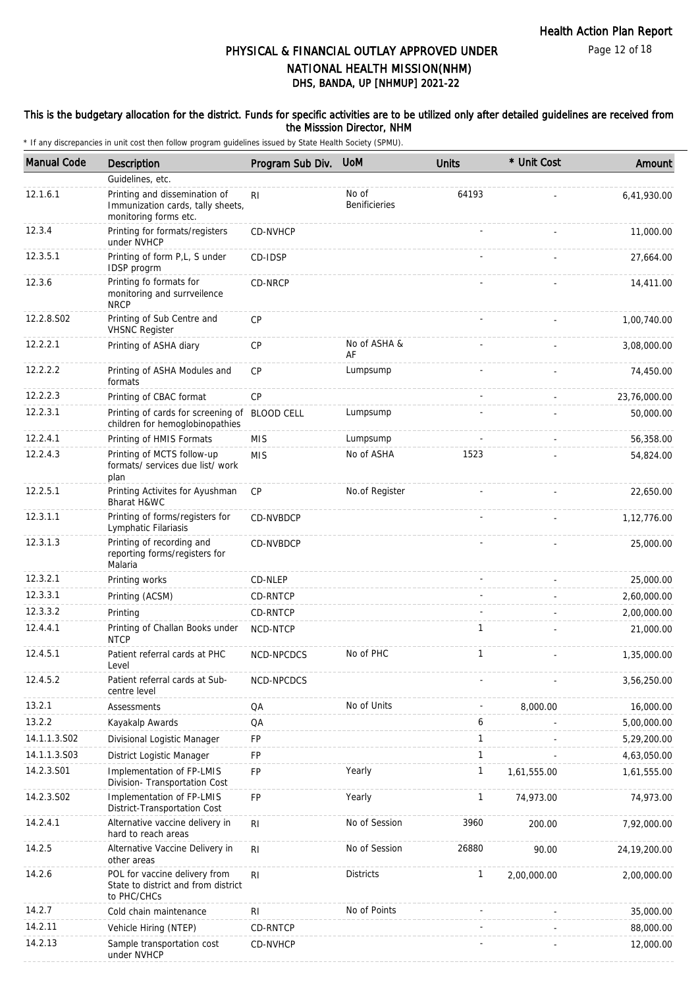Page 12 of 18

## DHS, BANDA, UP [NHMUP] 2021-22 PHYSICAL & FINANCIAL OUTLAY APPROVED UNDER NATIONAL HEALTH MISSION(NHM)

### This is the budgetary allocation for the district. Funds for specific activities are to be utilized only after detailed guidelines are received from the Misssion Director, NHM

| <b>Manual Code</b> | Description                                                                                 | Program Sub Div. | <b>UoM</b>                    | <b>Units</b> | * Unit Cost | Amount         |
|--------------------|---------------------------------------------------------------------------------------------|------------------|-------------------------------|--------------|-------------|----------------|
|                    | Guidelines, etc.                                                                            |                  |                               |              |             |                |
| 12.1.6.1           | Printing and dissemination of<br>Immunization cards, tally sheets,<br>monitoring forms etc. | RI.              | No of<br><b>Benificieries</b> | 64193        |             | 6,41,930.00    |
| 12.3.4             | Printing for formats/registers<br>under NVHCP                                               | CD-NVHCP         |                               |              |             | 11,000.00      |
| 12.3.5.1           | Printing of form P,L, S under<br>IDSP progrm                                                | CD-IDSP          |                               |              |             | 27,664.00      |
| 12.3.6             | Printing fo formats for<br>monitoring and surrveilence<br><b>NRCP</b>                       | CD-NRCP          |                               |              |             | 14,411.00      |
| 12.2.8.S02         | Printing of Sub Centre and<br><b>VHSNC Register</b>                                         | <b>CP</b>        |                               |              |             | 1,00,740.00    |
| 12.2.2.1           | Printing of ASHA diary                                                                      | <b>CP</b>        | No of ASHA &<br>AF            |              |             | 3,08,000.00    |
| 12.2.2.2           | Printing of ASHA Modules and<br>formats                                                     | <b>CP</b>        | Lumpsump                      |              |             | 74,450.00      |
| 12.2.2.3           | Printing of CBAC format                                                                     | CP               |                               |              |             | 23,76,000.00   |
| 12.2.3.1           | Printing of cards for screening of BLOOD CELL<br>children for hemoglobinopathies            |                  | Lumpsump                      |              |             | 50,000.00      |
| 12.2.4.1           | Printing of HMIS Formats                                                                    | <b>MIS</b>       | Lumpsump                      |              |             | 56,358.00      |
| 12.2.4.3           | Printing of MCTS follow-up<br>formats/ services due list/ work<br>plan                      | <b>MIS</b>       | No of ASHA                    | 1523         |             | 54,824.00      |
| 12.2.5.1           | Printing Activites for Ayushman<br>Bharat H&WC                                              | CP               | No.of Register                |              |             | 22,650.00      |
| 12.3.1.1           | Printing of forms/registers for<br>Lymphatic Filariasis                                     | CD-NVBDCP        |                               |              |             | 1,12,776.00    |
| 12.3.1.3           | Printing of recording and<br>reporting forms/registers for<br>Malaria                       | CD-NVBDCP        |                               |              |             | 25,000.00      |
| 12.3.2.1           | Printing works                                                                              | CD-NLEP          |                               |              |             | 25,000.00      |
| 12.3.3.1           | Printing (ACSM)                                                                             | CD-RNTCP         |                               |              |             | 2,60,000.00    |
| 12.3.3.2           | Printing                                                                                    | CD-RNTCP         |                               |              |             | 2,00,000.00    |
| 12.4.4.1           | Printing of Challan Books under<br><b>NTCP</b>                                              | NCD-NTCP         |                               | $\mathbf{1}$ |             | 21,000.00      |
| 12.4.5.1           | Patient referral cards at PHC<br>Level                                                      | NCD-NPCDCS       | No of PHC                     | $\mathbf{1}$ |             | 1,35,000.00    |
| 12.4.5.2           | Patient referral cards at Sub-<br>centre level                                              | NCD-NPCDCS       |                               |              |             | 3,56,250.00    |
| 13.2.1             | Assessments                                                                                 | QA               | No of Units                   |              | 8,000.00    | 16,000.00      |
| 13.2.2             | Kayakalp Awards                                                                             | QA               |                               | 6            |             | 5,00,000.00    |
| 14.1.1.3.S02       | Divisional Logistic Manager                                                                 | <b>FP</b>        |                               | $\mathbf{1}$ |             | 5,29,200.00    |
| 14.1.1.3.S03       | District Logistic Manager                                                                   | FP               |                               | $\mathbf{1}$ |             | 4,63,050.00    |
| 14.2.3.S01         | Implementation of FP-LMIS<br>Division- Transportation Cost                                  | <b>FP</b>        | Yearly                        | $\mathbf{1}$ | 1,61,555.00 | 1,61,555.00    |
| 14.2.3.S02         | Implementation of FP-LMIS<br>District-Transportation Cost                                   | <b>FP</b>        | Yearly                        | $\mathbf{1}$ | 74,973.00   | 74,973.00      |
| 14.2.4.1           | Alternative vaccine delivery in<br>hard to reach areas                                      | R <sub>l</sub>   | No of Session                 | 3960         | 200.00      | 7,92,000.00    |
| 14.2.5             | Alternative Vaccine Delivery in<br>other areas                                              | R <sub>l</sub>   | No of Session                 | 26880        | 90.00       | 24, 19, 200.00 |
| 14.2.6             | POL for vaccine delivery from<br>State to district and from district<br>to PHC/CHCs         | R <sub>l</sub>   | <b>Districts</b>              | 1            | 2,00,000.00 | 2,00,000.00    |
| 14.2.7             | Cold chain maintenance                                                                      | <b>RI</b>        | No of Points                  |              |             | 35,000.00      |
| 14.2.11            | Vehicle Hiring (NTEP)                                                                       | CD-RNTCP         |                               |              |             | 88,000.00      |
| 14.2.13            | Sample transportation cost<br>under NVHCP                                                   | CD-NVHCP         |                               |              |             | 12,000.00      |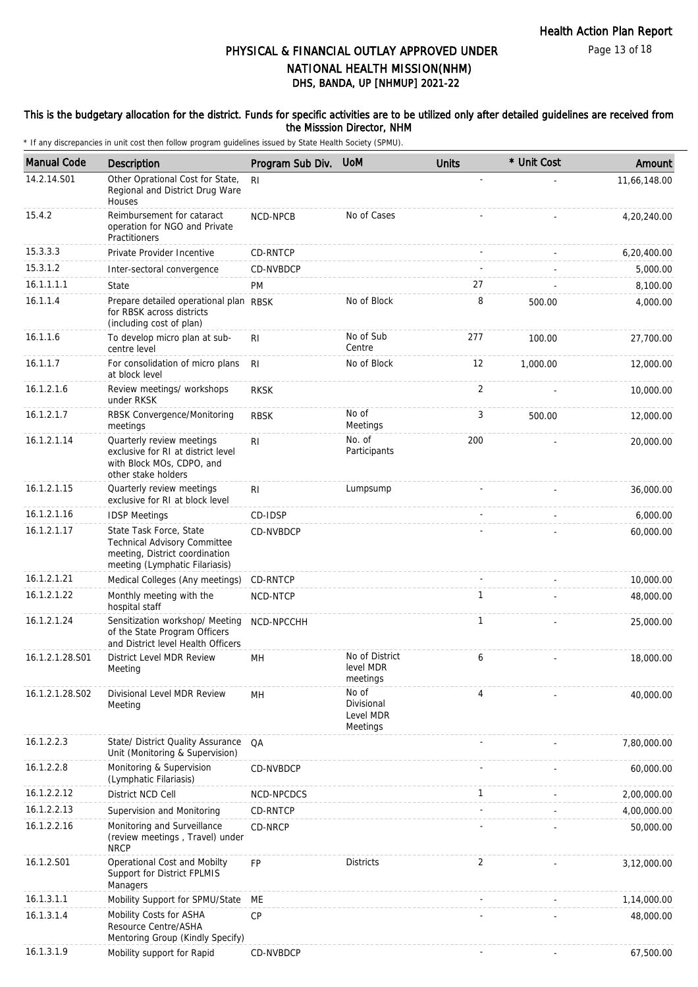Page 13 of 18

## DHS, BANDA, UP [NHMUP] 2021-22 PHYSICAL & FINANCIAL OUTLAY APPROVED UNDER NATIONAL HEALTH MISSION(NHM)

### This is the budgetary allocation for the district. Funds for specific activities are to be utilized only after detailed guidelines are received from the Misssion Director, NHM

| <b>Manual Code</b> | <b>Description</b>                                                                                                          | Program Sub Div. | <b>UoM</b>                                   | <b>Units</b> | * Unit Cost | Amount       |
|--------------------|-----------------------------------------------------------------------------------------------------------------------------|------------------|----------------------------------------------|--------------|-------------|--------------|
| 14.2.14.S01        | Other Oprational Cost for State,<br>Regional and District Drug Ware<br>Houses                                               | R <sub>l</sub>   |                                              |              |             | 11,66,148.00 |
| 15.4.2             | Reimbursement for cataract<br>operation for NGO and Private<br>Practitioners                                                | NCD-NPCB         | No of Cases                                  |              |             | 4,20,240.00  |
| 15.3.3.3           | Private Provider Incentive                                                                                                  | CD-RNTCP         |                                              |              |             | 6,20,400.00  |
| 15.3.1.2           | Inter-sectoral convergence                                                                                                  | CD-NVBDCP        |                                              |              |             | 5,000.00     |
| 16.1.1.1.1         | State                                                                                                                       | PM               |                                              | 27           |             | 8,100.00     |
| 16.1.1.4           | Prepare detailed operational plan RBSK<br>for RBSK across districts<br>(including cost of plan)                             |                  | No of Block                                  | 8            | 500.00      | 4,000.00     |
| 16.1.1.6           | To develop micro plan at sub-<br>centre level                                                                               | RI               | No of Sub<br>Centre                          | 277          | 100.00      | 27,700.00    |
| 16.1.1.7           | For consolidation of micro plans<br>at block level                                                                          | R <sub>l</sub>   | No of Block                                  | 12           | 1,000.00    | 12,000.00    |
| 16.1.2.1.6         | Review meetings/ workshops<br>under RKSK                                                                                    | <b>RKSK</b>      |                                              | 2            |             | 10,000.00    |
| 16.1.2.1.7         | RBSK Convergence/Monitoring<br>meetings                                                                                     | <b>RBSK</b>      | No of<br>Meetings                            | 3            | 500.00      | 12,000.00    |
| 16.1.2.1.14        | Quarterly review meetings<br>exclusive for RI at district level<br>with Block MOs, CDPO, and<br>other stake holders         | R <sub>l</sub>   | No. of<br>Participants                       | 200          |             | 20,000.00    |
| 16.1.2.1.15        | Quarterly review meetings<br>exclusive for RI at block level                                                                | R <sub>l</sub>   | Lumpsump                                     |              |             | 36,000.00    |
| 16.1.2.1.16        | <b>IDSP Meetings</b>                                                                                                        | CD-IDSP          |                                              |              |             | 6,000.00     |
| 16.1.2.1.17        | State Task Force, State<br>Technical Advisory Committee<br>meeting, District coordination<br>meeting (Lymphatic Filariasis) | CD-NVBDCP        |                                              |              |             | 60,000.00    |
| 16.1.2.1.21        | Medical Colleges (Any meetings)                                                                                             | CD-RNTCP         |                                              |              |             | 10,000.00    |
| 16.1.2.1.22        | Monthly meeting with the<br>hospital staff                                                                                  | NCD-NTCP         |                                              | $\mathbf{1}$ |             | 48,000.00    |
| 16.1.2.1.24        | Sensitization workshop/ Meeting<br>of the State Program Officers<br>and District level Health Officers                      | NCD-NPCCHH       |                                              | $\mathbf{1}$ |             | 25,000.00    |
| 16.1.2.1.28.S01    | District Level MDR Review<br>Meeting                                                                                        | MH               | No of District<br>level MDR<br>meetings      | 6            |             | 18,000.00    |
| 16.1.2.1.28.S02    | Divisional Level MDR Review<br>Meeting                                                                                      | MH               | No of<br>Divisional<br>Level MDR<br>Meetings | 4            |             | 40,000.00    |
| 16.1.2.2.3         | State/ District Quality Assurance<br>Unit (Monitoring & Supervision)                                                        | QA               |                                              |              |             | 7,80,000.00  |
| 16.1.2.2.8         | Monitoring & Supervision<br>(Lymphatic Filariasis)                                                                          | CD-NVBDCP        |                                              |              |             | 60,000.00    |
| 16.1.2.2.12        | District NCD Cell                                                                                                           | NCD-NPCDCS       |                                              | $\mathbf{1}$ |             | 2,00,000.00  |
| 16.1.2.2.13        | Supervision and Monitoring                                                                                                  | <b>CD-RNTCP</b>  |                                              |              |             | 4,00,000.00  |
| 16.1.2.2.16        | Monitoring and Surveillance<br>(review meetings, Travel) under<br><b>NRCP</b>                                               | CD-NRCP          |                                              |              |             | 50,000.00    |
| 16.1.2.S01         | Operational Cost and Mobilty<br>Support for District FPLMIS<br>Managers                                                     | <b>FP</b>        | <b>Districts</b>                             | 2            |             | 3,12,000.00  |
| 16.1.3.1.1         | Mobility Support for SPMU/State                                                                                             | ME               |                                              |              |             | 1,14,000.00  |
| 16.1.3.1.4         | Mobility Costs for ASHA<br>Resource Centre/ASHA<br>Mentoring Group (Kindly Specify)                                         | CP               |                                              |              |             | 48,000.00    |
| 16.1.3.1.9         | Mobility support for Rapid                                                                                                  | CD-NVBDCP        |                                              |              |             | 67,500.00    |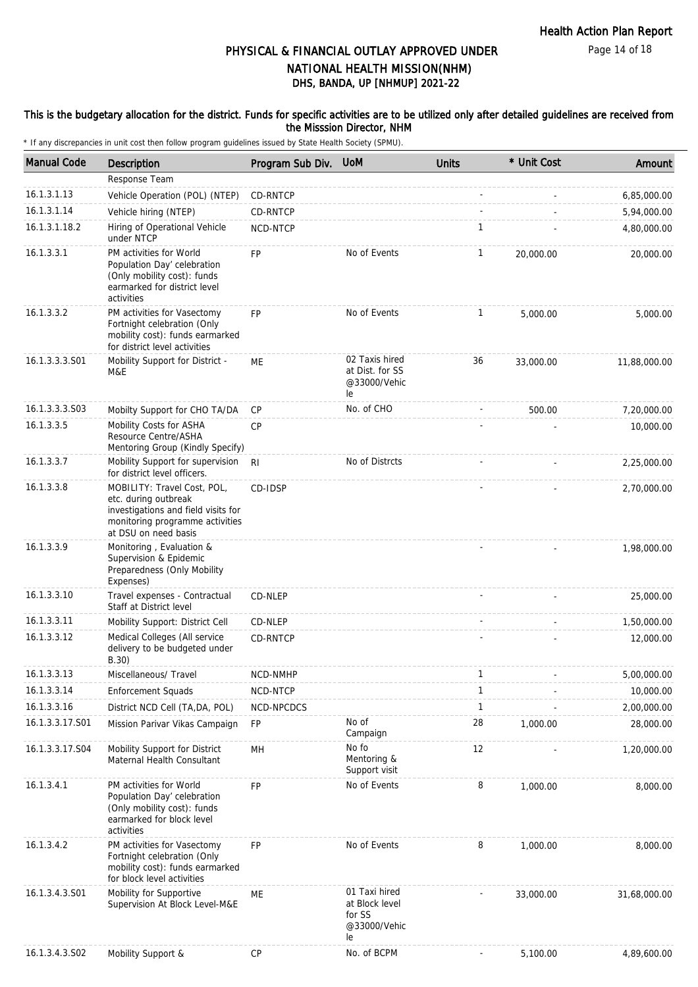### This is the budgetary allocation for the district. Funds for specific activities are to be utilized only after detailed guidelines are received from the Misssion Director, NHM

| <b>Manual Code</b> | Description                                                                                                                                           | Program Sub Div. UoM |                                                                 | <b>Units</b> | * Unit Cost | Amount       |
|--------------------|-------------------------------------------------------------------------------------------------------------------------------------------------------|----------------------|-----------------------------------------------------------------|--------------|-------------|--------------|
|                    | Response Team                                                                                                                                         |                      |                                                                 |              |             |              |
| 16.1.3.1.13        | Vehicle Operation (POL) (NTEP)                                                                                                                        | CD-RNTCP             |                                                                 |              |             | 6,85,000.00  |
| 16.1.3.1.14        | Vehicle hiring (NTEP)                                                                                                                                 | CD-RNTCP             |                                                                 |              |             | 5,94,000.00  |
| 16.1.3.1.18.2      | Hiring of Operational Vehicle<br>under NTCP                                                                                                           | NCD-NTCP             |                                                                 | $\mathbf{1}$ |             | 4,80,000.00  |
| 16.1.3.3.1         | PM activities for World<br>Population Day' celebration<br>(Only mobility cost): funds<br>earmarked for district level<br>activities                   | <b>FP</b>            | No of Events                                                    | 1            | 20,000.00   | 20,000.00    |
| 16.1.3.3.2         | PM activities for Vasectomy<br>Fortnight celebration (Only<br>mobility cost): funds earmarked<br>for district level activities                        | <b>FP</b>            | No of Events                                                    | $\mathbf{1}$ | 5,000.00    | 5,000.00     |
| 16.1.3.3.3.S01     | Mobility Support for District -<br>M&E                                                                                                                | ME                   | 02 Taxis hired<br>at Dist. for SS<br>@33000/Vehic<br>le         | 36           | 33,000.00   | 11,88,000.00 |
| 16.1.3.3.3.S03     | Mobilty Support for CHO TA/DA                                                                                                                         | <b>CP</b>            | No. of CHO                                                      |              | 500.00      | 7,20,000.00  |
| 16.1.3.3.5         | Mobility Costs for ASHA<br>Resource Centre/ASHA<br>Mentoring Group (Kindly Specify)                                                                   | CP                   |                                                                 |              |             | 10,000.00    |
| 16.1.3.3.7         | Mobility Support for supervision<br>for district level officers.                                                                                      | <b>RI</b>            | No of Distrcts                                                  |              |             | 2,25,000.00  |
| 16.1.3.3.8         | MOBILITY: Travel Cost, POL,<br>etc. during outbreak<br>investigations and field visits for<br>monitoring programme activities<br>at DSU on need basis | CD-IDSP              |                                                                 |              |             | 2,70,000.00  |
| 16.1.3.3.9         | Monitoring, Evaluation &<br>Supervision & Epidemic<br>Preparedness (Only Mobility<br>Expenses)                                                        |                      |                                                                 |              |             | 1,98,000.00  |
| 16.1.3.3.10        | Travel expenses - Contractual<br>Staff at District level                                                                                              | CD-NLEP              |                                                                 |              |             | 25,000.00    |
| 16.1.3.3.11        | Mobility Support: District Cell                                                                                                                       | CD-NLEP              |                                                                 |              |             | 1,50,000.00  |
| 16.1.3.3.12        | Medical Colleges (All service<br>delivery to be budgeted under<br>B.30)                                                                               | CD-RNTCP             |                                                                 |              |             | 12,000.00    |
| 16.1.3.3.13        | Miscellaneous/ Travel                                                                                                                                 | NCD-NMHP             |                                                                 | ı            |             | 5,00,000.00  |
| 16.1.3.3.14        | <b>Enforcement Squads</b>                                                                                                                             | NCD-NTCP             |                                                                 | 1            |             | 10,000.00    |
| 16.1.3.3.16        | District NCD Cell (TA, DA, POL)                                                                                                                       | NCD-NPCDCS           |                                                                 | $\mathbf{1}$ |             | 2,00,000.00  |
| 16.1.3.3.17.S01    | Mission Parivar Vikas Campaign                                                                                                                        | FP                   | No of<br>Campaign                                               | 28           | 1,000.00    | 28,000.00    |
| 16.1.3.3.17.S04    | Mobility Support for District<br>Maternal Health Consultant                                                                                           | MH                   | No fo<br>Mentoring &<br>Support visit                           | 12           |             | 1,20,000.00  |
| 16.1.3.4.1         | PM activities for World<br>Population Day' celebration<br>(Only mobility cost): funds<br>earmarked for block level<br>activities                      | FP                   | No of Events                                                    | 8            | 1,000.00    | 8,000.00     |
| 16.1.3.4.2         | PM activities for Vasectomy<br>Fortnight celebration (Only<br>mobility cost): funds earmarked<br>for block level activities                           | FP                   | No of Events                                                    | 8            | 1,000.00    | 8,000.00     |
| 16.1.3.4.3.S01     | Mobility for Supportive<br>Supervision At Block Level-M&E                                                                                             | МE                   | 01 Taxi hired<br>at Block level<br>for SS<br>@33000/Vehic<br>le |              | 33,000.00   | 31,68,000.00 |
| 16.1.3.4.3.S02     | Mobility Support &                                                                                                                                    | CP                   | No. of BCPM                                                     |              | 5,100.00    | 4,89,600.00  |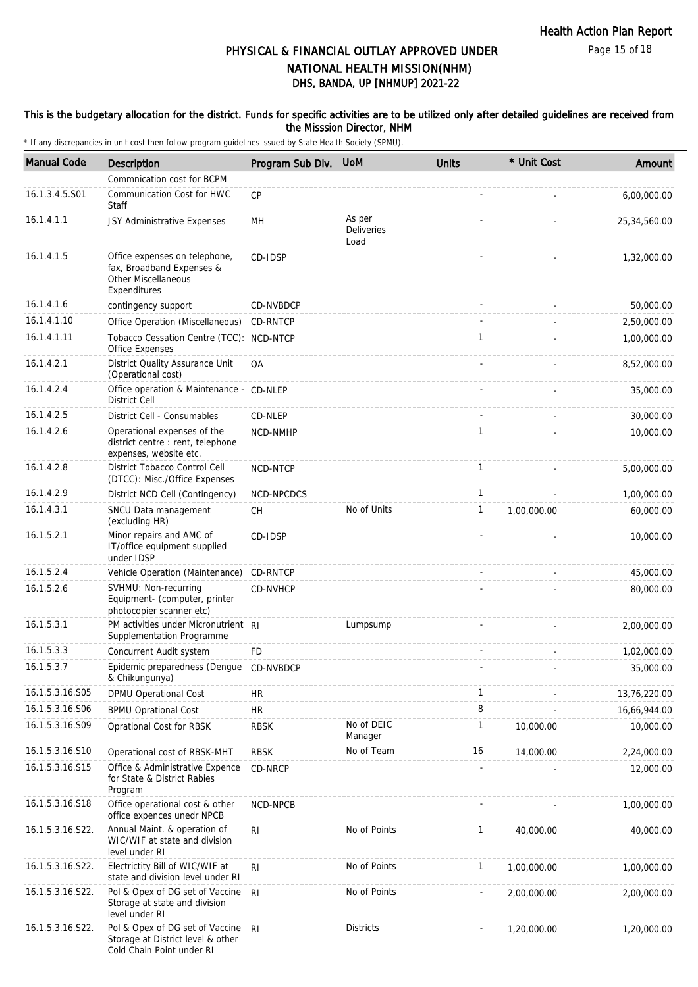Page 15 of 18

## DHS, BANDA, UP [NHMUP] 2021-22 PHYSICAL & FINANCIAL OUTLAY APPROVED UNDER NATIONAL HEALTH MISSION(NHM)

### This is the budgetary allocation for the district. Funds for specific activities are to be utilized only after detailed guidelines are received from the Misssion Director, NHM

| <b>Manual Code</b> | <b>Description</b>                                                                                       | Program Sub Div. | <b>UoM</b>                          | <b>Units</b> | * Unit Cost | Amount       |
|--------------------|----------------------------------------------------------------------------------------------------------|------------------|-------------------------------------|--------------|-------------|--------------|
|                    | Commnication cost for BCPM                                                                               |                  |                                     |              |             |              |
| 16.1.3.4.5.S01     | Communication Cost for HWC<br>Staff                                                                      | CP               |                                     |              |             | 6,00,000.00  |
| 16.1.4.1.1         | JSY Administrative Expenses                                                                              | MН               | As per<br><b>Deliveries</b><br>Load |              |             | 25,34,560.00 |
| 16.1.4.1.5         | Office expenses on telephone,<br>fax, Broadband Expenses &<br><b>Other Miscellaneous</b><br>Expenditures | CD-IDSP          |                                     |              |             | 1,32,000.00  |
| 16.1.4.1.6         | contingency support                                                                                      | CD-NVBDCP        |                                     |              |             | 50,000.00    |
| 16.1.4.1.10        | Office Operation (Miscellaneous)                                                                         | CD-RNTCP         |                                     |              |             | 2,50,000.00  |
| 16.1.4.1.11        | Tobacco Cessation Centre (TCC): NCD-NTCP<br>Office Expenses                                              |                  |                                     | 1            |             | 1,00,000.00  |
| 16.1.4.2.1         | District Quality Assurance Unit<br>(Operational cost)                                                    | QA               |                                     |              |             | 8,52,000.00  |
| 16.1.4.2.4         | Office operation & Maintenance - CD-NLEP<br><b>District Cell</b>                                         |                  |                                     |              |             | 35,000.00    |
| 16.1.4.2.5         | District Cell - Consumables                                                                              | CD-NLEP          |                                     |              |             | 30,000.00    |
| 16.1.4.2.6         | Operational expenses of the<br>district centre : rent, telephone<br>expenses, website etc.               | NCD-NMHP         |                                     | 1            |             | 10,000.00    |
| 16.1.4.2.8         | District Tobacco Control Cell<br>(DTCC): Misc./Office Expenses                                           | <b>NCD-NTCP</b>  |                                     | $\mathbf{1}$ |             | 5,00,000.00  |
| 16.1.4.2.9         | District NCD Cell (Contingency)                                                                          | NCD-NPCDCS       |                                     | $\mathbf{1}$ |             | 1,00,000.00  |
| 16.1.4.3.1         | SNCU Data management<br>(excluding HR)                                                                   | <b>CH</b>        | No of Units                         | 1            | 1,00,000.00 | 60,000.00    |
| 16.1.5.2.1         | Minor repairs and AMC of<br>IT/office equipment supplied<br>under IDSP                                   | CD-IDSP          |                                     |              |             | 10,000.00    |
| 16.1.5.2.4         | Vehicle Operation (Maintenance)                                                                          | <b>CD-RNTCP</b>  |                                     |              |             | 45,000.00    |
| 16.1.5.2.6         | SVHMU: Non-recurring<br>Equipment- (computer, printer<br>photocopier scanner etc)                        | CD-NVHCP         |                                     |              |             | 80,000.00    |
| 16.1.5.3.1         | PM activities under Micronutrient RI<br>Supplementation Programme                                        |                  | Lumpsump                            |              |             | 2,00,000.00  |
| 16.1.5.3.3         | Concurrent Audit system                                                                                  | FD               |                                     |              |             | 1,02,000.00  |
| 16.1.5.3.7         | Epidemic preparedness (Dengue CD-NVBDCP<br>& Chikungunya)                                                |                  |                                     |              |             | 35,000.00    |
| 16.1.5.3.16.S05    | DPMU Operational Cost                                                                                    | HR               |                                     | 1            |             | 13,76,220.00 |
| 16.1.5.3.16.S06    | <b>BPMU Oprational Cost</b>                                                                              | <b>HR</b>        |                                     | 8            |             | 16,66,944.00 |
| 16.1.5.3.16.S09    | Oprational Cost for RBSK                                                                                 | <b>RBSK</b>      | No of DEIC<br>Manager               | 1            | 10,000.00   | 10,000.00    |
| 16.1.5.3.16.S10    | Operational cost of RBSK-MHT                                                                             | <b>RBSK</b>      | No of Team                          | 16           | 14,000.00   | 2,24,000.00  |
| 16.1.5.3.16.S15    | Office & Administrative Expence<br>for State & District Rabies<br>Program                                | CD-NRCP          |                                     |              |             | 12,000.00    |
| 16.1.5.3.16.S18    | Office operational cost & other<br>office expences unedr NPCB                                            | NCD-NPCB         |                                     |              |             | 1,00,000.00  |
| 16.1.5.3.16.S22.   | Annual Maint. & operation of<br>WIC/WIF at state and division<br>level under RI                          | RI               | No of Points                        | 1            | 40,000.00   | 40,000.00    |
| 16.1.5.3.16.S22.   | Electrictity Bill of WIC/WIF at<br>state and division level under RI                                     | R <sub>l</sub>   | No of Points                        | 1            | 1,00,000.00 | 1,00,000.00  |
| 16.1.5.3.16.S22.   | Pol & Opex of DG set of Vaccine<br>Storage at state and division<br>level under RI                       | R <sub>l</sub>   | No of Points                        |              | 2,00,000.00 | 2,00,000.00  |
| 16.1.5.3.16.S22.   | Pol & Opex of DG set of Vaccine RI<br>Storage at District level & other<br>Cold Chain Point under RI     |                  | <b>Districts</b>                    |              | 1,20,000.00 | 1,20,000.00  |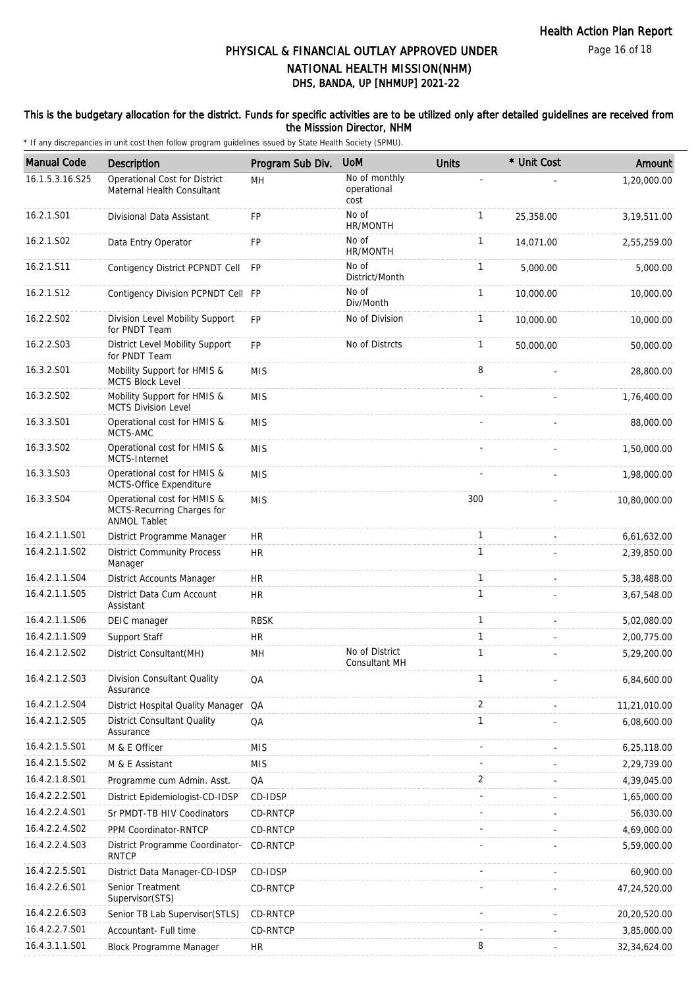### This is the budgetary allocation for the district. Funds for specific activities are to be utilized only after detailed guidelines are received from the Misssion Director, NHM

| <b>Manual Code</b> | Description                                                                      | Program Sub Div. | <b>UoM</b>                           | <b>Units</b> | * Unit Cost | Amount         |
|--------------------|----------------------------------------------------------------------------------|------------------|--------------------------------------|--------------|-------------|----------------|
| 16.1.5.3.16.S25    | Operational Cost for District<br>Maternal Health Consultant                      | MH               | No of monthly<br>operational<br>cost |              |             | 1,20,000.00    |
| 16.2.1.S01         | Divisional Data Assistant                                                        | FP               | No of<br>HR/MONTH                    | $\mathbf{1}$ | 25,358.00   | 3,19,511.00    |
| 16.2.1.S02         | Data Entry Operator                                                              | FP               | No of<br>HR/MONTH                    | $\mathbf{1}$ | 14,071.00   | 2,55,259.00    |
| 16.2.1.S11         | Contigency District PCPNDT Cell                                                  | <b>FP</b>        | No of<br>District/Month              | 1            | 5,000.00    | 5,000.00       |
| 16.2.1.S12         | Contigency Division PCPNDT Cell FP                                               |                  | No of<br>Div/Month                   | $\mathbf{1}$ | 10,000.00   | 10,000.00      |
| 16.2.2.S02         | Division Level Mobility Support<br>for PNDT Team                                 | FP               | No of Division                       | $\mathbf{1}$ | 10,000.00   | 10,000.00      |
| 16.2.2.S03         | District Level Mobility Support<br>for PNDT Team                                 | FP               | No of Distrcts                       | $\mathbf{1}$ | 50,000.00   | 50,000.00      |
| 16.3.2.S01         | Mobility Support for HMIS &<br><b>MCTS Block Level</b>                           | <b>MIS</b>       |                                      | 8            |             | 28,800.00      |
| 16.3.2.S02         | Mobility Support for HMIS &<br><b>MCTS Division Level</b>                        | <b>MIS</b>       |                                      |              |             | 1,76,400.00    |
| 16.3.3.S01         | Operational cost for HMIS &<br>MCTS-AMC                                          | <b>MIS</b>       |                                      |              |             | 88,000.00      |
| 16.3.3.S02         | Operational cost for HMIS &<br>MCTS-Internet                                     | <b>MIS</b>       |                                      |              |             | 1,50,000.00    |
| 16.3.3.S03         | Operational cost for HMIS &<br>MCTS-Office Expenditure                           | <b>MIS</b>       |                                      |              |             | 1,98,000.00    |
| 16.3.3.S04         | Operational cost for HMIS &<br>MCTS-Recurring Charges for<br><b>ANMOL Tablet</b> | <b>MIS</b>       |                                      | 300          |             | 10,80,000.00   |
| 16.4.2.1.1.S01     | District Programme Manager                                                       | <b>HR</b>        |                                      | $\mathbf{1}$ |             | 6,61,632.00    |
| 16.4.2.1.1.S02     | <b>District Community Process</b><br>Manager                                     | <b>HR</b>        |                                      | $\mathbf{1}$ |             | 2,39,850.00    |
| 16.4.2.1.1.S04     | District Accounts Manager                                                        | <b>HR</b>        |                                      | $\mathbf{1}$ |             | 5,38,488.00    |
| 16.4.2.1.1.S05     | District Data Cum Account<br>Assistant                                           | <b>HR</b>        |                                      | $\mathbf{1}$ |             | 3,67,548.00    |
| 16.4.2.1.1.S06     | DEIC manager                                                                     | <b>RBSK</b>      |                                      | $\mathbf{1}$ |             | 5,02,080.00    |
| 16.4.2.1.1.S09     | Support Staff                                                                    | <b>HR</b>        |                                      | $\mathbf{1}$ |             | 2,00,775.00    |
| 16.4.2.1.2.S02     | District Consultant (MH)                                                         | MН               | No of District<br>Consultant MH      | 1            |             | 5,29,200.00    |
| 16.4.2.1.2.S03     | Division Consultant Quality<br>Assurance                                         | QA               |                                      | $\mathbf{1}$ |             | 6,84,600.00    |
| 16.4.2.1.2.S04     | District Hospital Quality Manager                                                | QA               |                                      | 2            |             | 11,21,010.00   |
| 16.4.2.1.2.S05     | <b>District Consultant Quality</b><br>Assurance                                  | QA               |                                      | $\mathbf{1}$ |             | 6,08,600.00    |
| 16.4.2.1.5.S01     | M & E Officer                                                                    | <b>MIS</b>       |                                      |              |             | 6,25,118.00    |
| 16.4.2.1.5.S02     | M & E Assistant                                                                  | <b>MIS</b>       |                                      |              |             | 2,29,739.00    |
| 16.4.2.1.8.S01     | Programme cum Admin. Asst.                                                       | QA               |                                      | 2            |             | 4,39,045.00    |
| 16.4.2.2.2.S01     | District Epidemiologist-CD-IDSP                                                  | CD-IDSP          |                                      |              |             | 1,65,000.00    |
| 16.4.2.2.4.S01     | Sr PMDT-TB HIV Coodinators                                                       | CD-RNTCP         |                                      |              |             | 56,030.00      |
| 16.4.2.2.4.S02     | PPM Coordinator-RNTCP                                                            | CD-RNTCP         |                                      |              |             | 4,69,000.00    |
| 16.4.2.2.4.S03     | District Programme Coordinator-<br>RNTCP                                         | CD-RNTCP         |                                      |              |             | 5,59,000.00    |
| 16.4.2.2.5.S01     | District Data Manager-CD-IDSP                                                    | CD-IDSP          |                                      |              |             | 60,900.00      |
| 16.4.2.2.6.S01     | Senior Treatment<br>Supervisor(STS)                                              | CD-RNTCP         |                                      |              |             | 47,24,520.00   |
| 16.4.2.2.6.S03     | Senior TB Lab Supervisor(STLS)                                                   | CD-RNTCP         |                                      |              |             | 20,20,520.00   |
| 16.4.2.2.7.S01     | Accountant- Full time                                                            | CD-RNTCP         |                                      |              |             | 3,85,000.00    |
| 16.4.3.1.1.S01     | Block Programme Manager                                                          | <b>HR</b>        |                                      | 8            |             | 32, 34, 624.00 |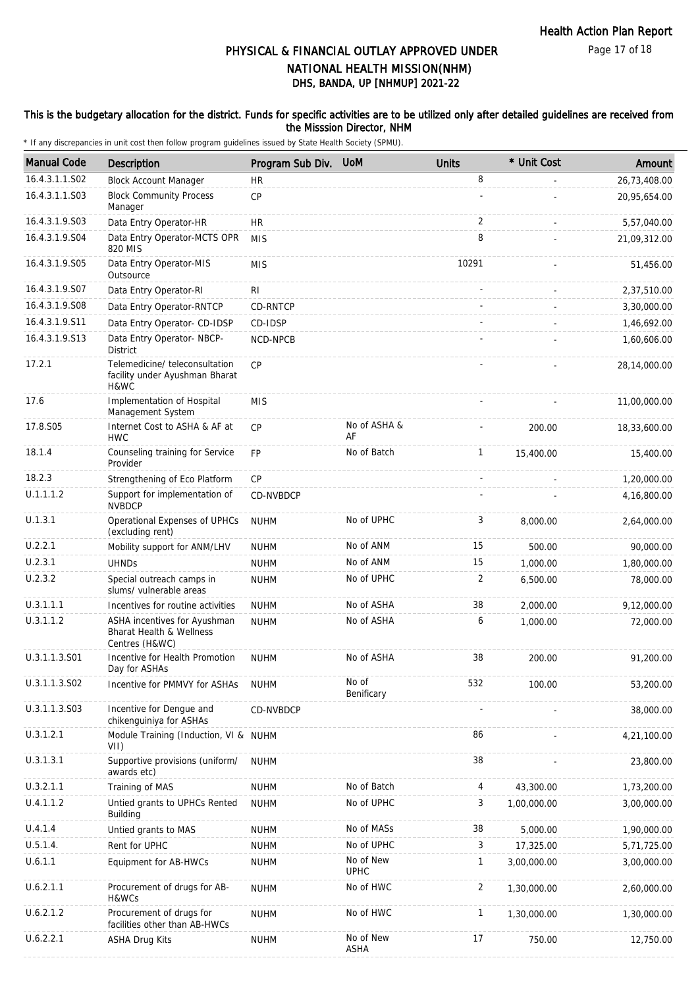Page 17 of 18

# DHS, BANDA, UP [NHMUP] 2021-22 PHYSICAL & FINANCIAL OUTLAY APPROVED UNDER NATIONAL HEALTH MISSION(NHM)

### This is the budgetary allocation for the district. Funds for specific activities are to be utilized only after detailed guidelines are received from the Misssion Director, NHM

| <b>Manual Code</b> | <b>Description</b>                                                         | Program Sub Div. UoM |                          | <b>Units</b> | * Unit Cost | Amount       |
|--------------------|----------------------------------------------------------------------------|----------------------|--------------------------|--------------|-------------|--------------|
| 16.4.3.1.1.S02     | <b>Block Account Manager</b>                                               | <b>HR</b>            |                          | 8            |             | 26,73,408.00 |
| 16.4.3.1.1.S03     | <b>Block Community Process</b><br>Manager                                  | CP                   |                          |              |             | 20,95,654.00 |
| 16.4.3.1.9.S03     | Data Entry Operator-HR                                                     | <b>HR</b>            |                          | 2            |             | 5,57,040.00  |
| 16.4.3.1.9.S04     | Data Entry Operator-MCTS OPR<br>820 MIS                                    | <b>MIS</b>           |                          | 8            |             | 21,09,312.00 |
| 16.4.3.1.9.S05     | Data Entry Operator-MIS<br>Outsource                                       | <b>MIS</b>           |                          | 10291        |             | 51,456.00    |
| 16.4.3.1.9.S07     | Data Entry Operator-RI                                                     | <b>RI</b>            |                          |              |             | 2,37,510.00  |
| 16.4.3.1.9.S08     | Data Entry Operator-RNTCP                                                  | CD-RNTCP             |                          |              |             | 3,30,000.00  |
| 16.4.3.1.9.S11     | Data Entry Operator- CD-IDSP                                               | CD-IDSP              |                          |              |             | 1,46,692.00  |
| 16.4.3.1.9.S13     | Data Entry Operator- NBCP-<br><b>District</b>                              | NCD-NPCB             |                          |              |             | 1,60,606.00  |
| 17.2.1             | Telemedicine/ teleconsultation<br>facility under Ayushman Bharat<br>H&WC   | <b>CP</b>            |                          |              |             | 28,14,000.00 |
| 17.6               | Implementation of Hospital<br>Management System                            | <b>MIS</b>           |                          |              |             | 11,00,000.00 |
| 17.8.S05           | Internet Cost to ASHA & AF at<br><b>HWC</b>                                | <b>CP</b>            | No of ASHA &<br>AF       |              | 200.00      | 18,33,600.00 |
| 18.1.4             | Counseling training for Service<br>Provider                                | FP                   | No of Batch              | $\mathbf{1}$ | 15,400.00   | 15,400.00    |
| 18.2.3             | Strengthening of Eco Platform                                              | <b>CP</b>            |                          | ÷.           |             | 1,20,000.00  |
| U.1.1.1.2          | Support for implementation of<br><b>NVBDCP</b>                             | CD-NVBDCP            |                          |              |             | 4,16,800.00  |
| U.1.3.1            | Operational Expenses of UPHCs<br>(excluding rent)                          | <b>NUHM</b>          | No of UPHC               | 3            | 8,000.00    | 2,64,000.00  |
| U.2.2.1            | Mobility support for ANM/LHV                                               | <b>NUHM</b>          | No of ANM                | 15           | 500.00      | 90,000.00    |
| U.2.3.1            | <b>UHNDs</b>                                                               | <b>NUHM</b>          | No of ANM                | 15           | 1,000.00    | 1,80,000.00  |
| U.2.3.2            | Special outreach camps in<br>slums/ vulnerable areas                       | <b>NUHM</b>          | No of UPHC               | 2            | 6,500.00    | 78,000.00    |
| U.3.1.1.1          | Incentives for routine activities                                          | <b>NUHM</b>          | No of ASHA               | 38           | 2,000.00    | 9,12,000.00  |
| U.3.1.1.2          | ASHA incentives for Ayushman<br>Bharat Health & Wellness<br>Centres (H&WC) | <b>NUHM</b>          | No of ASHA               | 6            | 1,000.00    | 72,000.00    |
| U.3.1.1.3.S01      | Incentive for Health Promotion<br>Day for ASHAs                            | <b>NUHM</b>          | No of ASHA               | 38           | 200.00      | 91,200.00    |
| U.3.1.1.3.S02      | Incentive for PMMVY for ASHAs                                              | <b>NUHM</b>          | No of<br>Benificary      | 532          | 100.00      | 53,200.00    |
| U.3.1.1.3.S03      | Incentive for Dengue and<br>chikenguiniya for ASHAs                        | CD-NVBDCP            |                          |              |             | 38,000.00    |
| U.3.1.2.1          | Module Training (Induction, VI & NUHM<br>VII)                              |                      |                          | 86           |             | 4,21,100.00  |
| U.3.1.3.1          | Supportive provisions (uniform/<br>awards etc)                             | <b>NUHM</b>          |                          | 38           |             | 23,800.00    |
| U.3.2.1.1          | Training of MAS                                                            | <b>NUHM</b>          | No of Batch              | 4            | 43,300.00   | 1,73,200.00  |
| U.4.1.1.2          | Untied grants to UPHCs Rented<br>Building                                  | <b>NUHM</b>          | No of UPHC               | 3            | 1,00,000.00 | 3,00,000.00  |
| U.4.1.4            | Untied grants to MAS                                                       | <b>NUHM</b>          | No of MASs               | 38           | 5,000.00    | 1,90,000.00  |
| U.5.1.4.           | Rent for UPHC                                                              | <b>NUHM</b>          | No of UPHC               | 3            | 17,325.00   | 5,71,725.00  |
| U.6.1.1            | Equipment for AB-HWCs                                                      | <b>NUHM</b>          | No of New<br><b>UPHC</b> | $\mathbf{1}$ | 3,00,000.00 | 3,00,000.00  |
| U.6.2.1.1          | Procurement of drugs for AB-<br>H&WCs                                      | <b>NUHM</b>          | No of HWC                | 2            | 1,30,000.00 | 2,60,000.00  |
| U.6.2.1.2          | Procurement of drugs for<br>facilities other than AB-HWCs                  | <b>NUHM</b>          | No of HWC                | 1            | 1,30,000.00 | 1,30,000.00  |
| U.6.2.2.1          | <b>ASHA Drug Kits</b>                                                      | <b>NUHM</b>          | No of New<br>ASHA        | 17           | 750.00      | 12,750.00    |